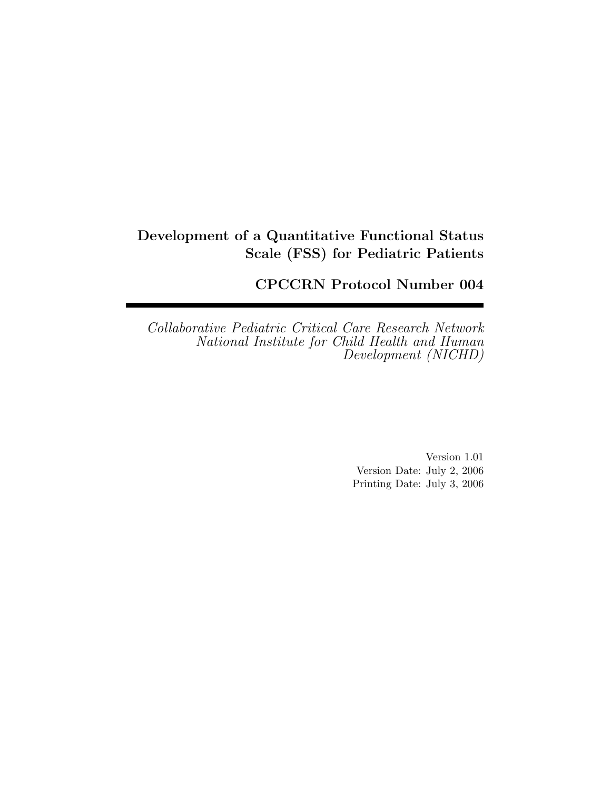## Development of a Quantitative Functional Status Scale (FSS) for Pediatric Patients

CPCCRN Protocol Number 004

*Collaborative Pediatric Critical Care Research Network National Institute for Child Health and Human Development (NICHD)*

> Version 1.01 Version Date: July 2, 2006 Printing Date: July 3, 2006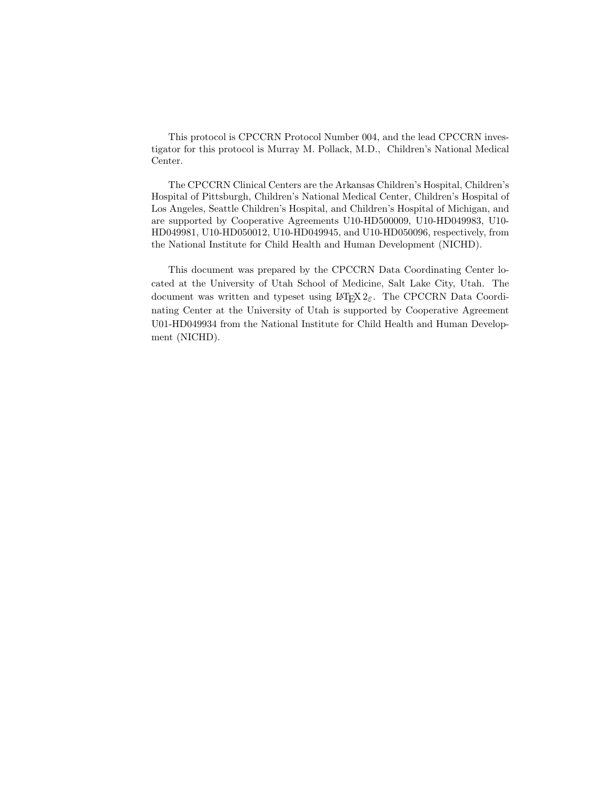This protocol is CPCCRN Protocol Number 004, and the lead CPCCRN investigator for this protocol is Murray M. Pollack, M.D., Children's National Medical Center.

The CPCCRN Clinical Centers are the Arkansas Children's Hospital, Children's Hospital of Pittsburgh, Children's National Medical Center, Children's Hospital of Los Angeles, Seattle Children's Hospital, and Children's Hospital of Michigan, and are supported by Cooperative Agreements U10-HD500009, U10-HD049983, U10- HD049981, U10-HD050012, U10-HD049945, and U10-HD050096, respectively, from the National Institute for Child Health and Human Development (NICHD).

This document was prepared by the CPCCRN Data Coordinating Center located at the University of Utah School of Medicine, Salt Lake City, Utah. The document was written and typeset using  $\mathbb{F}T\mathbb{F}X2_{\varepsilon}$ . The CPCCRN Data Coordinating Center at the University of Utah is supported by Cooperative Agreement U01-HD049934 from the National Institute for Child Health and Human Development (NICHD).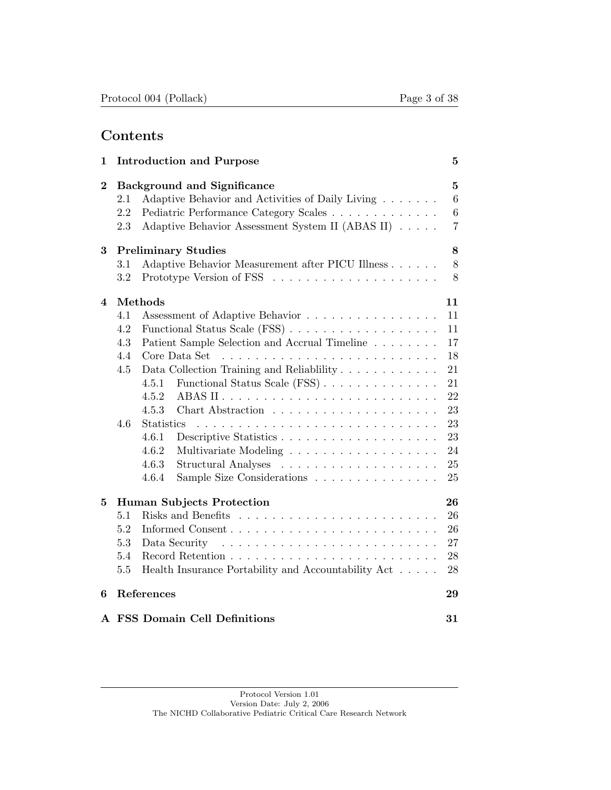## Contents

| 1        |                   | <b>Introduction and Purpose</b>                                                                                                                                                     | $\bf{5}$                                   |  |  |  |  |  |  |  |  |
|----------|-------------------|-------------------------------------------------------------------------------------------------------------------------------------------------------------------------------------|--------------------------------------------|--|--|--|--|--|--|--|--|
| $\bf{2}$ | 2.1<br>2.2<br>2.3 | <b>Background and Significance</b><br>Adaptive Behavior and Activities of Daily Living<br>Pediatric Performance Category Scales<br>Adaptive Behavior Assessment System II (ABAS II) | $\overline{5}$<br>6<br>6<br>$\overline{7}$ |  |  |  |  |  |  |  |  |
| 3        |                   | <b>Preliminary Studies</b>                                                                                                                                                          |                                            |  |  |  |  |  |  |  |  |
|          | 3.1               | Adaptive Behavior Measurement after PICU Illness                                                                                                                                    | 8                                          |  |  |  |  |  |  |  |  |
|          | $3.2\,$           |                                                                                                                                                                                     | 8                                          |  |  |  |  |  |  |  |  |
| 4        |                   | Methods                                                                                                                                                                             | 11                                         |  |  |  |  |  |  |  |  |
|          | 4.1               | Assessment of Adaptive Behavior                                                                                                                                                     | 11                                         |  |  |  |  |  |  |  |  |
|          | 4.2               | Functional Status Scale (FSS)                                                                                                                                                       | 11                                         |  |  |  |  |  |  |  |  |
|          | 4.3               | Patient Sample Selection and Accrual Timeline                                                                                                                                       | 17                                         |  |  |  |  |  |  |  |  |
|          | 4.4               | Core Data Set<br><u>. A series and a series and a series and a series and</u>                                                                                                       | 18                                         |  |  |  |  |  |  |  |  |
|          | 4.5               | Data Collection Training and Reliability                                                                                                                                            | 21                                         |  |  |  |  |  |  |  |  |
|          |                   | Functional Status Scale (FSS)<br>4.5.1                                                                                                                                              | 21                                         |  |  |  |  |  |  |  |  |
|          |                   | 4.5.2                                                                                                                                                                               | 22                                         |  |  |  |  |  |  |  |  |
|          |                   | 4.5.3                                                                                                                                                                               | 23                                         |  |  |  |  |  |  |  |  |
|          | 4.6               | <b>Statistics</b>                                                                                                                                                                   | 23                                         |  |  |  |  |  |  |  |  |
|          |                   | 4.6.1                                                                                                                                                                               | 23                                         |  |  |  |  |  |  |  |  |
|          |                   | 4.6.2                                                                                                                                                                               | 24                                         |  |  |  |  |  |  |  |  |
|          |                   | 4.6.3                                                                                                                                                                               | 25                                         |  |  |  |  |  |  |  |  |
|          |                   | 4.6.4<br>Sample Size Considerations                                                                                                                                                 | 25                                         |  |  |  |  |  |  |  |  |
| 5        |                   | <b>Human Subjects Protection</b>                                                                                                                                                    | 26                                         |  |  |  |  |  |  |  |  |
|          | 5.1               |                                                                                                                                                                                     | 26                                         |  |  |  |  |  |  |  |  |
|          | 5.2               |                                                                                                                                                                                     | 26                                         |  |  |  |  |  |  |  |  |
|          | 5.3               | Data Security                                                                                                                                                                       | 27                                         |  |  |  |  |  |  |  |  |
|          | 5.4               |                                                                                                                                                                                     | 28                                         |  |  |  |  |  |  |  |  |
|          | 5.5               | Health Insurance Portability and Accountability Act                                                                                                                                 | 28                                         |  |  |  |  |  |  |  |  |
| 6        |                   | References                                                                                                                                                                          | 29                                         |  |  |  |  |  |  |  |  |
|          |                   | A FSS Domain Cell Definitions                                                                                                                                                       | 31                                         |  |  |  |  |  |  |  |  |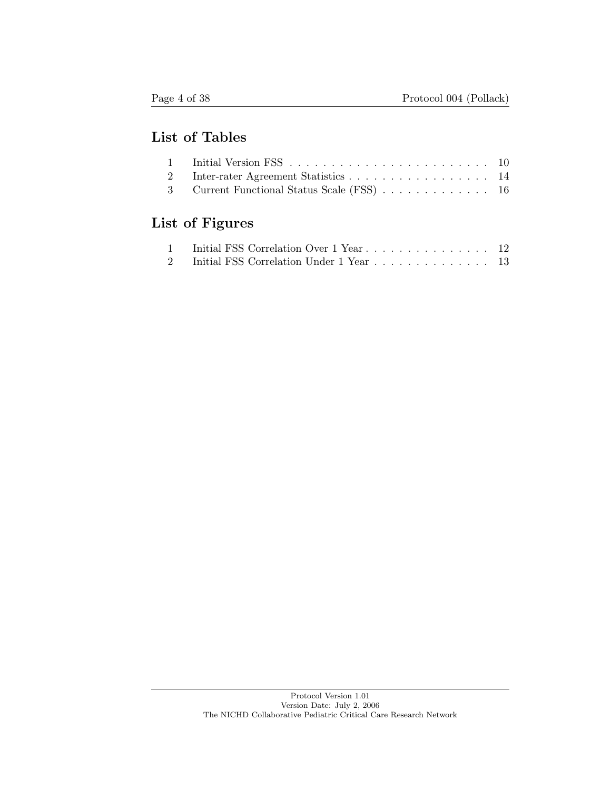## List of Tables

| 2 Inter-rater Agreement Statistics 14       |  |
|---------------------------------------------|--|
| 3 Current Functional Status Scale (FSS)  16 |  |

# List of Figures

| 1 Initial FSS Correlation Over 1 Year  12  |  |
|--------------------------------------------|--|
| 2 Initial FSS Correlation Under 1 Year  13 |  |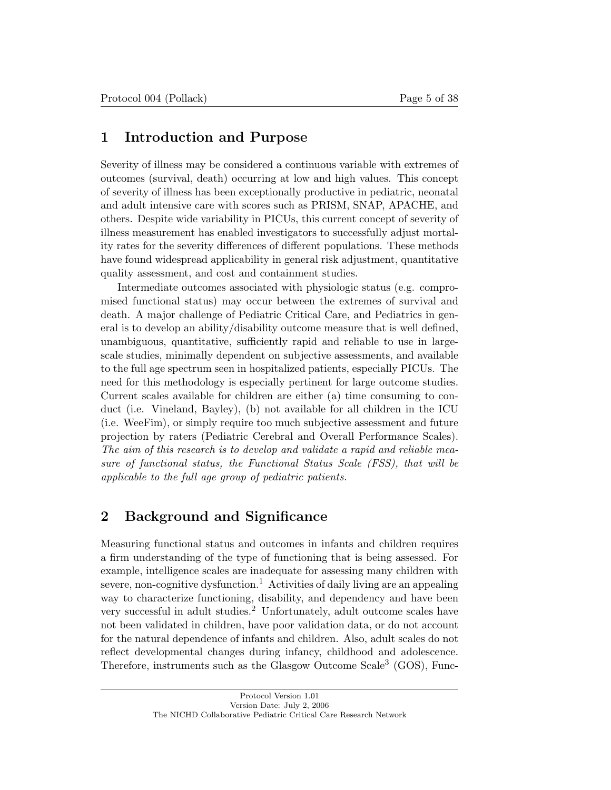## 1 Introduction and Purpose

Severity of illness may be considered a continuous variable with extremes of outcomes (survival, death) occurring at low and high values. This concept of severity of illness has been exceptionally productive in pediatric, neonatal and adult intensive care with scores such as PRISM, SNAP, APACHE, and others. Despite wide variability in PICUs, this current concept of severity of illness measurement has enabled investigators to successfully adjust mortality rates for the severity differences of different populations. These methods have found widespread applicability in general risk adjustment, quantitative quality assessment, and cost and containment studies.

Intermediate outcomes associated with physiologic status (e.g. compromised functional status) may occur between the extremes of survival and death. A major challenge of Pediatric Critical Care, and Pediatrics in general is to develop an ability/disability outcome measure that is well defined, unambiguous, quantitative, sufficiently rapid and reliable to use in largescale studies, minimally dependent on subjective assessments, and available to the full age spectrum seen in hospitalized patients, especially PICUs. The need for this methodology is especially pertinent for large outcome studies. Current scales available for children are either (a) time consuming to conduct (i.e. Vineland, Bayley), (b) not available for all children in the ICU (i.e. WeeFim), or simply require too much subjective assessment and future projection by raters (Pediatric Cerebral and Overall Performance Scales). *The aim of this research is to develop and validate a rapid and reliable measure of functional status, the Functional Status Scale (FSS), that will be applicable to the full age group of pediatric patients.*

## 2 Background and Significance

Measuring functional status and outcomes in infants and children requires a firm understanding of the type of functioning that is being assessed. For example, intelligence scales are inadequate for assessing many children with severe, non-cognitive dysfunction.<sup>1</sup> Activities of daily living are an appealing way to characterize functioning, disability, and dependency and have been very successful in adult studies.<sup>2</sup> Unfortunately, adult outcome scales have not been validated in children, have poor validation data, or do not account for the natural dependence of infants and children. Also, adult scales do not reflect developmental changes during infancy, childhood and adolescence. Therefore, instruments such as the Glasgow Outcome Scale<sup>3</sup> (GOS), Func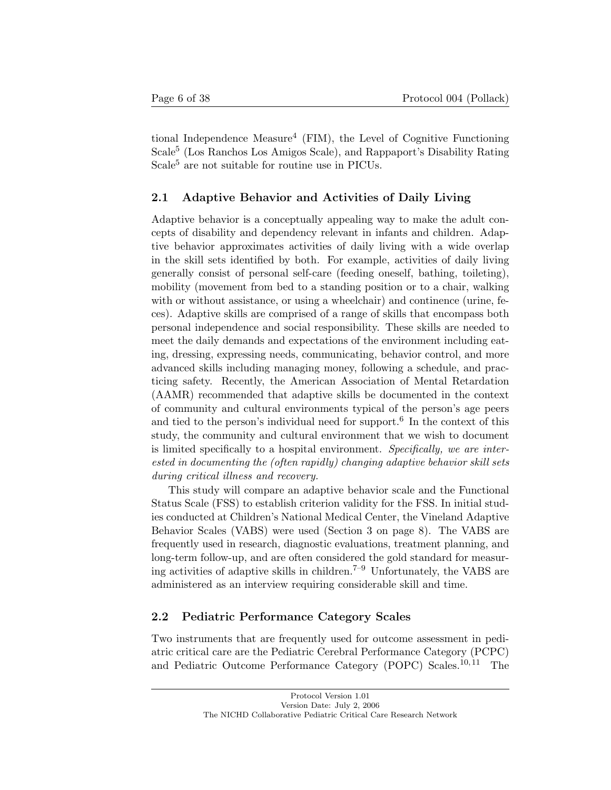tional Independence Measure<sup>4</sup> (FIM), the Level of Cognitive Functioning Scale<sup>5</sup> (Los Ranchos Los Amigos Scale), and Rappaport's Disability Rating Scale<sup>5</sup> are not suitable for routine use in PICUs.

## 2.1 Adaptive Behavior and Activities of Daily Living

Adaptive behavior is a conceptually appealing way to make the adult concepts of disability and dependency relevant in infants and children. Adaptive behavior approximates activities of daily living with a wide overlap in the skill sets identified by both. For example, activities of daily living generally consist of personal self-care (feeding oneself, bathing, toileting), mobility (movement from bed to a standing position or to a chair, walking with or without assistance, or using a wheelchair) and continence (urine, feces). Adaptive skills are comprised of a range of skills that encompass both personal independence and social responsibility. These skills are needed to meet the daily demands and expectations of the environment including eating, dressing, expressing needs, communicating, behavior control, and more advanced skills including managing money, following a schedule, and practicing safety. Recently, the American Association of Mental Retardation (AAMR) recommended that adaptive skills be documented in the context of community and cultural environments typical of the person's age peers and tied to the person's individual need for support.<sup>6</sup> In the context of this study, the community and cultural environment that we wish to document is limited specifically to a hospital environment. *Specifically, we are interested in documenting the (often rapidly) changing adaptive behavior skill sets during critical illness and recovery.*

This study will compare an adaptive behavior scale and the Functional Status Scale (FSS) to establish criterion validity for the FSS. In initial studies conducted at Children's National Medical Center, the Vineland Adaptive Behavior Scales (VABS) were used (Section 3 on page 8). The VABS are frequently used in research, diagnostic evaluations, treatment planning, and long-term follow-up, and are often considered the gold standard for measuring activities of adaptive skills in children.<sup> $7-9$ </sup> Unfortunately, the VABS are administered as an interview requiring considerable skill and time.

## 2.2 Pediatric Performance Category Scales

Two instruments that are frequently used for outcome assessment in pediatric critical care are the Pediatric Cerebral Performance Category (PCPC) and Pediatric Outcome Performance Category (POPC) Scales.<sup>10, 11</sup> The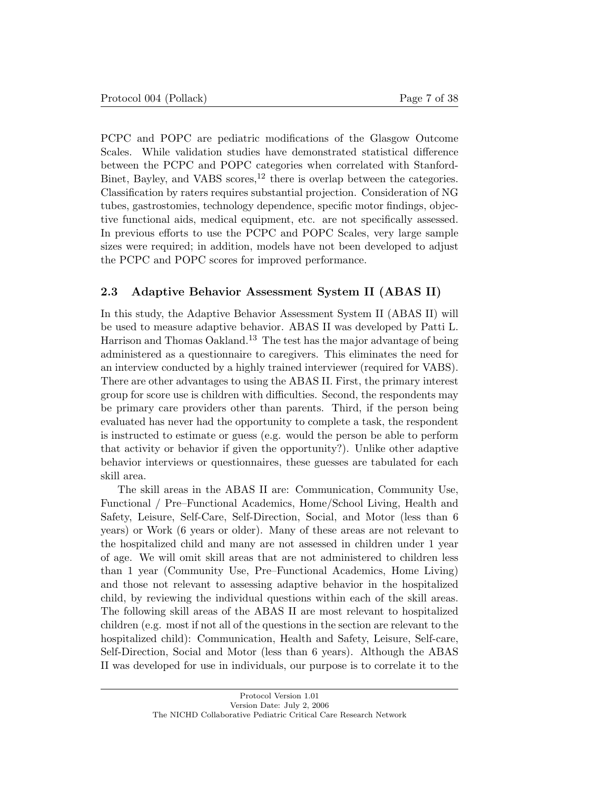PCPC and POPC are pediatric modifications of the Glasgow Outcome Scales. While validation studies have demonstrated statistical difference between the PCPC and POPC categories when correlated with Stanford-Binet, Bayley, and VABS scores,<sup>12</sup> there is overlap between the categories. Classification by raters requires substantial projection. Consideration of NG tubes, gastrostomies, technology dependence, specific motor findings, objective functional aids, medical equipment, etc. are not specifically assessed. In previous efforts to use the PCPC and POPC Scales, very large sample sizes were required; in addition, models have not been developed to adjust the PCPC and POPC scores for improved performance.

#### 2.3 Adaptive Behavior Assessment System II (ABAS II)

In this study, the Adaptive Behavior Assessment System II (ABAS II) will be used to measure adaptive behavior. ABAS II was developed by Patti L. Harrison and Thomas Oakland. <sup>13</sup> The test has the major advantage of being administered as a questionnaire to caregivers. This eliminates the need for an interview conducted by a highly trained interviewer (required for VABS). There are other advantages to using the ABAS II. First, the primary interest group for score use is children with difficulties. Second, the respondents may be primary care providers other than parents. Third, if the person being evaluated has never had the opportunity to complete a task, the respondent is instructed to estimate or guess (e.g. would the person be able to perform that activity or behavior if given the opportunity?). Unlike other adaptive behavior interviews or questionnaires, these guesses are tabulated for each skill area.

The skill areas in the ABAS II are: Communication, Community Use, Functional / Pre–Functional Academics, Home/School Living, Health and Safety, Leisure, Self-Care, Self-Direction, Social, and Motor (less than 6 years) or Work (6 years or older). Many of these areas are not relevant to the hospitalized child and many are not assessed in children under 1 year of age. We will omit skill areas that are not administered to children less than 1 year (Community Use, Pre–Functional Academics, Home Living) and those not relevant to assessing adaptive behavior in the hospitalized child, by reviewing the individual questions within each of the skill areas. The following skill areas of the ABAS II are most relevant to hospitalized children (e.g. most if not all of the questions in the section are relevant to the hospitalized child): Communication, Health and Safety, Leisure, Self-care, Self-Direction, Social and Motor (less than 6 years). Although the ABAS II was developed for use in individuals, our purpose is to correlate it to the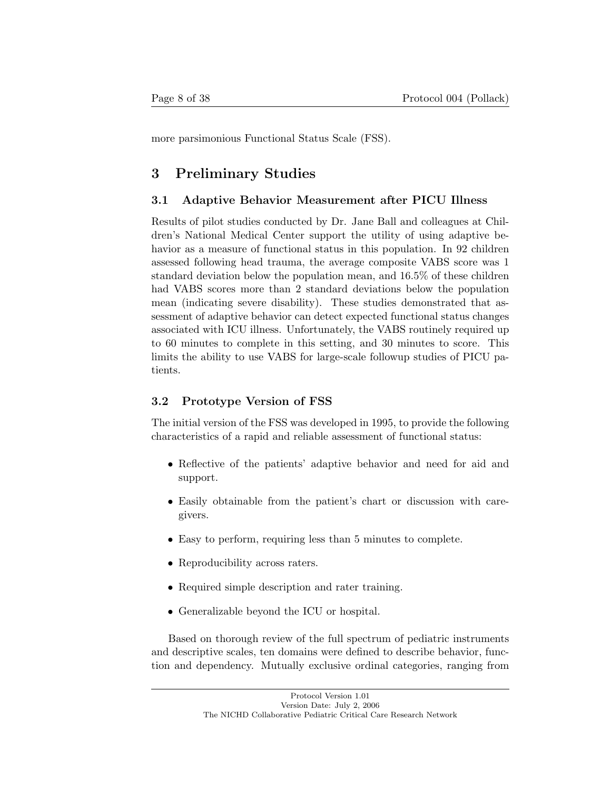more parsimonious Functional Status Scale (FSS).

## 3 Preliminary Studies

## 3.1 Adaptive Behavior Measurement after PICU Illness

Results of pilot studies conducted by Dr. Jane Ball and colleagues at Children's National Medical Center support the utility of using adaptive behavior as a measure of functional status in this population. In 92 children assessed following head trauma, the average composite VABS score was 1 standard deviation below the population mean, and 16.5% of these children had VABS scores more than 2 standard deviations below the population mean (indicating severe disability). These studies demonstrated that assessment of adaptive behavior can detect expected functional status changes associated with ICU illness. Unfortunately, the VABS routinely required up to 60 minutes to complete in this setting, and 30 minutes to score. This limits the ability to use VABS for large-scale followup studies of PICU patients.

## 3.2 Prototype Version of FSS

The initial version of the FSS was developed in 1995, to provide the following characteristics of a rapid and reliable assessment of functional status:

- Reflective of the patients' adaptive behavior and need for aid and support.
- Easily obtainable from the patient's chart or discussion with caregivers.
- Easy to perform, requiring less than 5 minutes to complete.
- Reproducibility across raters.
- Required simple description and rater training.
- Generalizable beyond the ICU or hospital.

Based on thorough review of the full spectrum of pediatric instruments and descriptive scales, ten domains were defined to describe behavior, function and dependency. Mutually exclusive ordinal categories, ranging from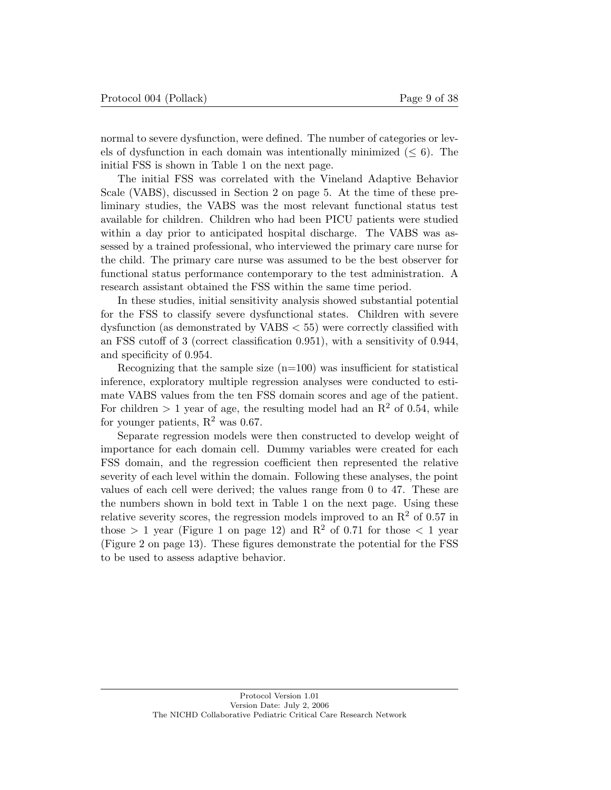normal to severe dysfunction, were defined. The number of categories or levels of dysfunction in each domain was intentionally minimized  $(< 6)$ . The initial FSS is shown in Table 1 on the next page.

The initial FSS was correlated with the Vineland Adaptive Behavior Scale (VABS), discussed in Section 2 on page 5. At the time of these preliminary studies, the VABS was the most relevant functional status test available for children. Children who had been PICU patients were studied within a day prior to anticipated hospital discharge. The VABS was assessed by a trained professional, who interviewed the primary care nurse for the child. The primary care nurse was assumed to be the best observer for functional status performance contemporary to the test administration. A research assistant obtained the FSS within the same time period.

In these studies, initial sensitivity analysis showed substantial potential for the FSS to classify severe dysfunctional states. Children with severe dysfunction (as demonstrated by VABS < 55) were correctly classified with an FSS cutoff of 3 (correct classification 0.951), with a sensitivity of 0.944, and specificity of 0.954.

Recognizing that the sample size  $(n=100)$  was insufficient for statistical inference, exploratory multiple regression analyses were conducted to estimate VABS values from the ten FSS domain scores and age of the patient. For children  $> 1$  year of age, the resulting model had an  $R<sup>2</sup>$  of 0.54, while for younger patients,  $\mathbb{R}^2$  was 0.67.

Separate regression models were then constructed to develop weight of importance for each domain cell. Dummy variables were created for each FSS domain, and the regression coefficient then represented the relative severity of each level within the domain. Following these analyses, the point values of each cell were derived; the values range from 0 to 47. These are the numbers shown in bold text in Table 1 on the next page. Using these relative severity scores, the regression models improved to an  $\mathbb{R}^2$  of 0.57 in those  $> 1$  year (Figure 1 on page 12) and  $\mathbb{R}^2$  of 0.71 for those  $< 1$  year (Figure 2 on page 13). These figures demonstrate the potential for the FSS to be used to assess adaptive behavior.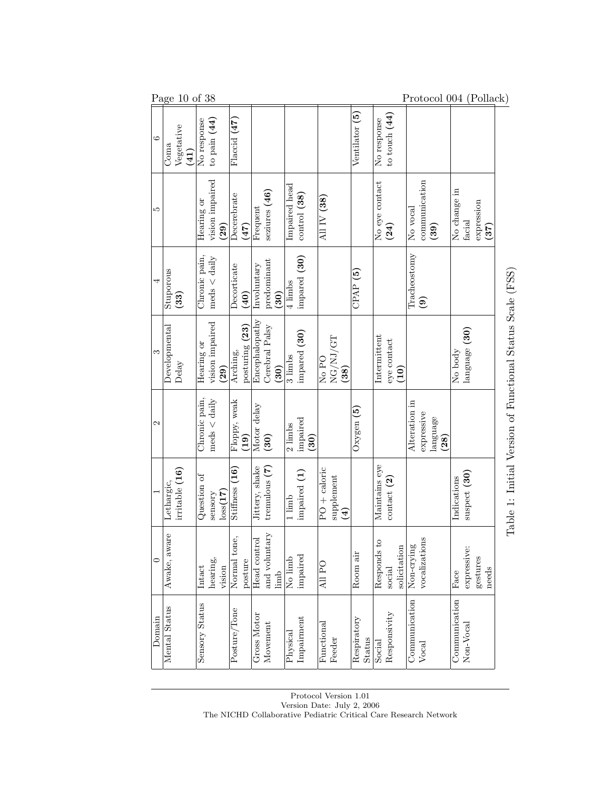| Page $10$ of 38<br>Protocol 004 (Pollack) |                    |                |                |          |                                                                  |                                                    |                      |                   |                                 |                  |                                    |                             |                |              |                                                                                         |                                 |                                |               |                    |                                                                    |
|-------------------------------------------|--------------------|----------------|----------------|----------|------------------------------------------------------------------|----------------------------------------------------|----------------------|-------------------|---------------------------------|------------------|------------------------------------|-----------------------------|----------------|--------------|-----------------------------------------------------------------------------------------|---------------------------------|--------------------------------|---------------|--------------------|--------------------------------------------------------------------|
| Coma                                      | Vegetative<br>(41) | No response    |                |          | Flaccid (47)                                                     |                                                    |                      |                   |                                 |                  |                                    |                             | Ventilator (5) | No response  | to touch $(44)$                                                                         |                                 |                                |               |                    |                                                                    |
|                                           |                    | Hearing or     |                | (29)     | Decerebrate                                                      |                                                    | Frequent             | seziures (46)     | Impaired head                   | control(38)      | All IV $(38)$                      |                             |                |              | (24)                                                                                    | No vocal                        | communication<br>(39)          | No change in  | expression<br>(37) |                                                                    |
| Stuporous                                 | (33)               | Chronic pain,  | $meds <$ daily |          | Decorticate                                                      | (40)                                               | Involuntary          | predominant       | 4 limbs                         | impared (30)     |                                    |                             | CPAP(5)        |              |                                                                                         | Tracheostomy                    |                                |               |                    | COLL C                                                             |
| Developmental                             | Delay              | Hearing or     |                | (29)     | Arching,                                                         |                                                    | Encephalopathy       |                   | 3 limbs                         | impared (30)     |                                    | NG/NJ/GT<br>(38)            |                | Intermittent | ${\rm e} {\rm y} {\rm e}$ contact<br>$\left( \begin{matrix} 0 \ 1 \end{matrix} \right)$ |                                 |                                | No body       |                    | i<br><br>                                                          |
|                                           |                    | Chronic pain,  | $meds <$ daily |          |                                                                  | $\left( \begin{matrix} 0 \ 1 \end{matrix} \right)$ | Motor delay          | $\left(30\right)$ | 2 limbs                         | impaired<br>(30) |                                    |                             | Oxygen $(5)$   |              |                                                                                         | Alteration in                   | expressive<br>language<br>(28) |               |                    |                                                                    |
|                                           | irritable(16)      | Question of    | sensory        | loss(17) | Stiffness $(16)$                                                 |                                                    | Jittery, shake       | tremulous $(7)$   | 1 limb                          | impaired (1)     | $PO + caloric$                     | supplement<br>$\widehat{A}$ |                |              | contact (2)                                                                             |                                 |                                | Indications   |                    | 医阿里氏试验检胆囊 医阿里氏试验检胆囊                                                |
| Awake, aware                              |                    | Intact         |                | vision   | Normal tone,                                                     | posture                                            | Head contro          | limb              | No limb                         | impaired         | All PO                             |                             | Room air       | Responds to  | solicitation<br>$\rm social$                                                            | Non-crying                      | vocalizations                  | Face          | gestures<br>needs  |                                                                    |
| Mental Status                             |                    | Sensory Status |                |          | Posture/Tone                                                     |                                                    | Gross Motor          | Movement          | Physical                        | Impairment       | $\mathop{\rm Functional}\nolimits$ | Feeder                      | Respiratory    | Social       | Responsivity                                                                            | Communication                   | Vocal                          | Communication |                    |                                                                    |
|                                           |                    | Lethargic,     |                |          | to pain $(44)$<br>vision impaired<br>vision impaired<br>hearing, |                                                    | (47)<br>Floppy, weak | posturing (23)    | Cerebral Palsy<br>and voluntary | (30)<br>(30)     |                                    |                             | $No$ PO        |              | Status                                                                                  | No eye contact<br>Maintains eye |                                | $\mathbf{e}$  |                    | facial<br>language (30)<br>suspect(30)<br>expressive:<br>Non-Vocal |

Protocol Version 1.01 Version Date: July 2, 2006 The NICHD Collaborative Pediatric Critical Care Research Network Table 1: Initial Versio n of  $\rm Functional$ Status Scale (FSS)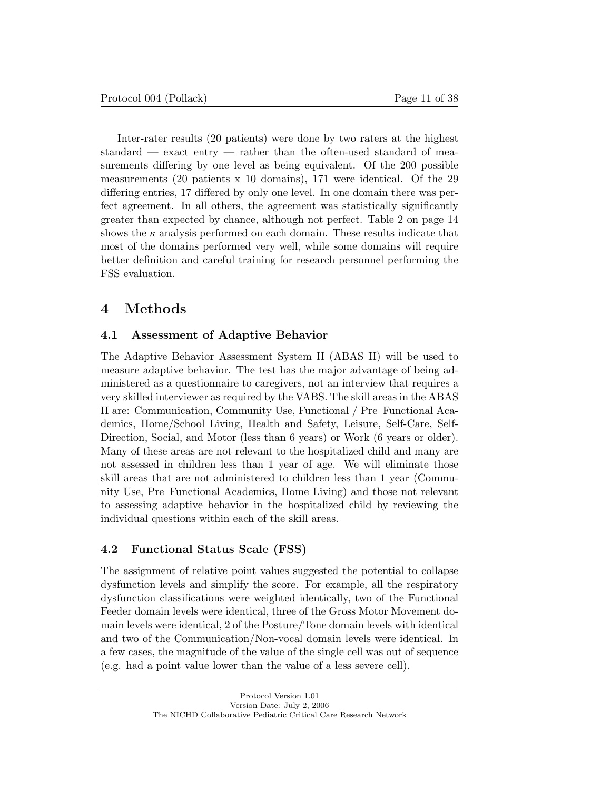Inter-rater results (20 patients) were done by two raters at the highest standard  $-$  exact entry  $-$  rather than the often-used standard of measurements differing by one level as being equivalent. Of the 200 possible measurements (20 patients x 10 domains), 171 were identical. Of the 29 differing entries, 17 differed by only one level. In one domain there was perfect agreement. In all others, the agreement was statistically significantly greater than expected by chance, although not perfect. Table 2 on page 14 shows the  $\kappa$  analysis performed on each domain. These results indicate that most of the domains performed very well, while some domains will require better definition and careful training for research personnel performing the FSS evaluation.

## 4 Methods

## 4.1 Assessment of Adaptive Behavior

The Adaptive Behavior Assessment System II (ABAS II) will be used to measure adaptive behavior. The test has the major advantage of being administered as a questionnaire to caregivers, not an interview that requires a very skilled interviewer as required by the VABS. The skill areas in the ABAS II are: Communication, Community Use, Functional / Pre–Functional Academics, Home/School Living, Health and Safety, Leisure, Self-Care, Self-Direction, Social, and Motor (less than 6 years) or Work (6 years or older). Many of these areas are not relevant to the hospitalized child and many are not assessed in children less than 1 year of age. We will eliminate those skill areas that are not administered to children less than 1 year (Community Use, Pre–Functional Academics, Home Living) and those not relevant to assessing adaptive behavior in the hospitalized child by reviewing the individual questions within each of the skill areas.

## 4.2 Functional Status Scale (FSS)

The assignment of relative point values suggested the potential to collapse dysfunction levels and simplify the score. For example, all the respiratory dysfunction classifications were weighted identically, two of the Functional Feeder domain levels were identical, three of the Gross Motor Movement domain levels were identical, 2 of the Posture/Tone domain levels with identical and two of the Communication/Non-vocal domain levels were identical. In a few cases, the magnitude of the value of the single cell was out of sequence (e.g. had a point value lower than the value of a less severe cell).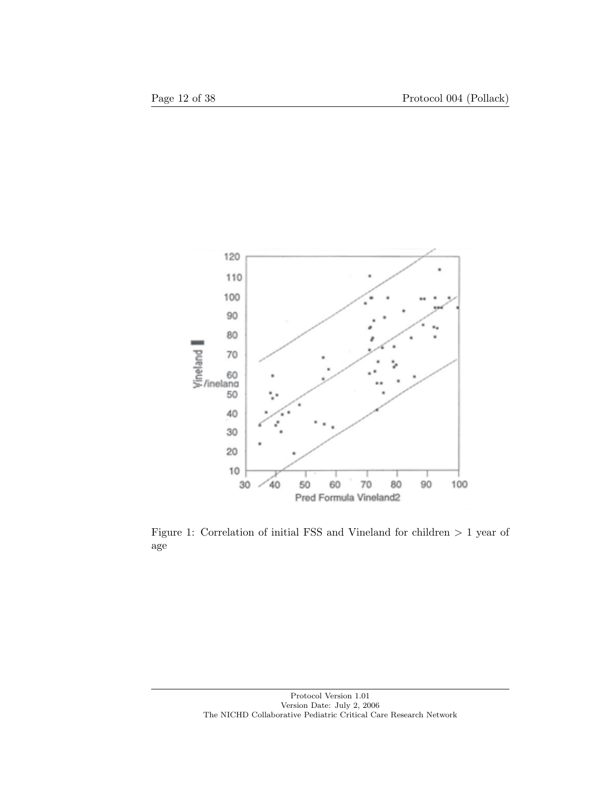

Figure 1: Correlation of initial FSS and Vineland for children > 1 year of age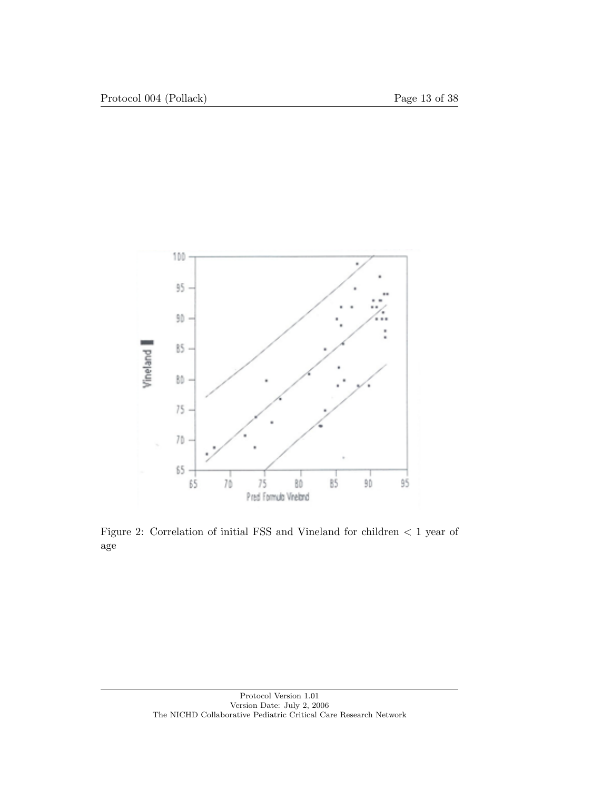

Figure 2: Correlation of initial FSS and Vineland for children < 1 year of age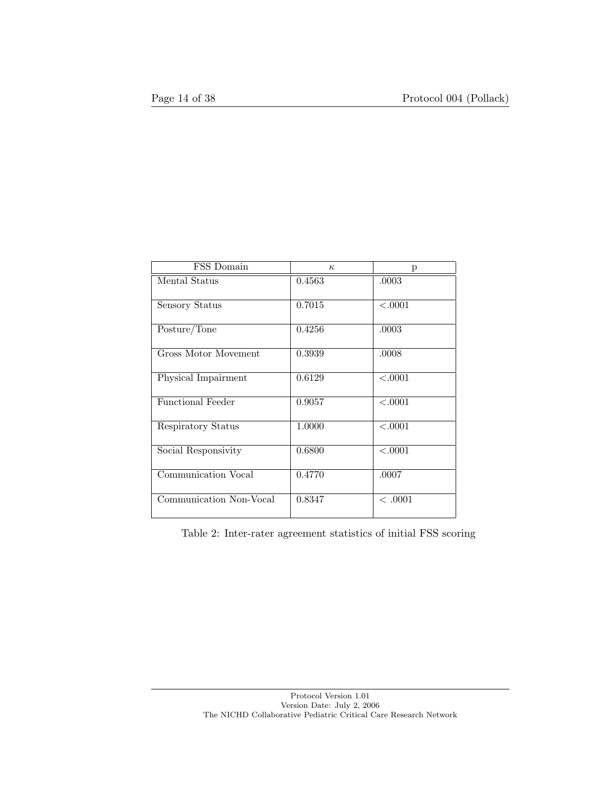| FSS Domain               | $\kappa$ | р       |
|--------------------------|----------|---------|
| Mental Status            | 0.4563   | .0003   |
| Sensory Status           | 0.7015   | < .0001 |
| Posture/Tone             | 0.4256   | .0003   |
| Gross Motor Movement     | 0.3939   | .0008   |
| Physical Impairment      | 0.6129   | < .0001 |
| <b>Functional Feeder</b> | 0.9057   | < .0001 |
| Respiratory Status       | 1.0000   | < .0001 |
| Social Responsivity      | 0.6800   | < .0001 |
| Communication Vocal      | 0.4770   | .0007   |
| Communication Non-Vocal  | 0.8347   | < .0001 |

Table 2: Inter-rater agreement statistics of initial FSS scoring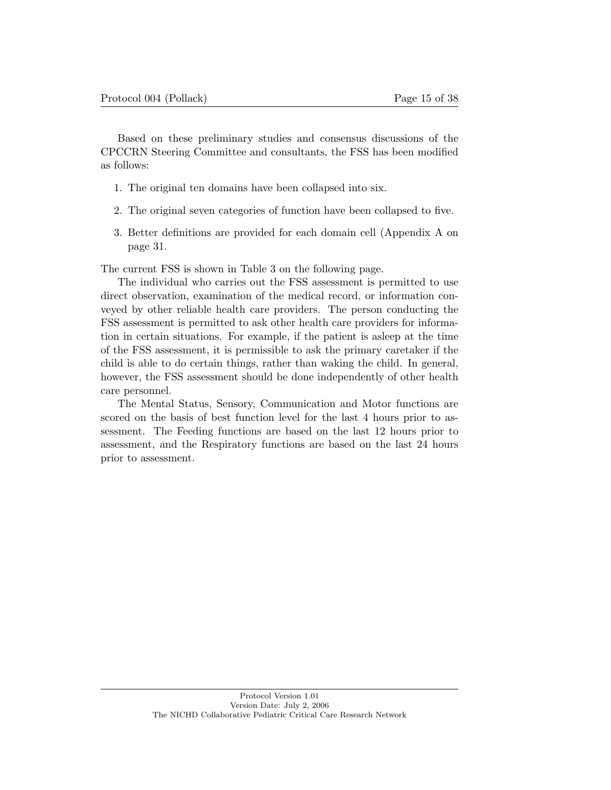Based on these preliminary studies and consensus discussions of the CPCCRN Steering Committee and consultants, the FSS has been modified as follows:

- 1. The original ten domains have been collapsed into six.
- 2. The original seven categories of function have been collapsed to five.
- 3. Better definitions are provided for each domain cell (Appendix A on page 31.

The current FSS is shown in Table 3 on the following page.

The individual who carries out the FSS assessment is permitted to use direct observation, examination of the medical record, or information conveyed by other reliable health care providers. The person conducting the FSS assessment is permitted to ask other health care providers for information in certain situations. For example, if the patient is asleep at the time of the FSS assessment, it is permissible to ask the primary caretaker if the child is able to do certain things, rather than waking the child. In general, however, the FSS assessment should be done independently of other health care personnel.

The Mental Status, Sensory, Communication and Motor functions are scored on the basis of best function level for the last 4 hours prior to assessment. The Feeding functions are based on the last 12 hours prior to assessment, and the Respiratory functions are based on the last 24 hours prior to assessment.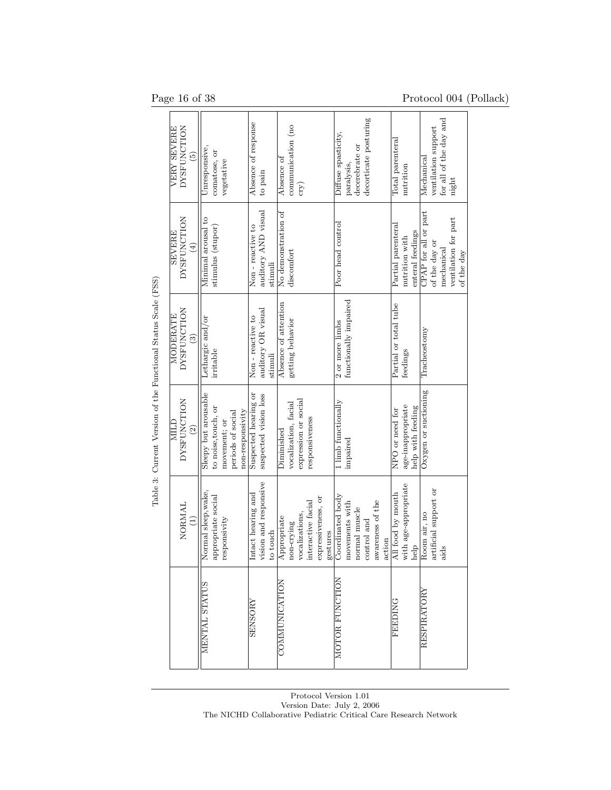Page 16 of 38 Protocol 004 (Pollack)

|                                                               | <b>NOLLONCLION</b><br>VERY SEVERE<br>6)              | Unresponsive,<br>comatose, or<br>vegetative                                                          | Absence of response<br>to pain                          | communication (no<br>Absence of<br>$\exp$                                                           | decorticate posturing<br>Diffuse spasticity,<br>decerebrate or<br>paralysis,                     | Total parenteral<br>nutrition                             | for all of the day and<br>ventilation support<br>$\rm_{Mechanical}$<br>night              |
|---------------------------------------------------------------|------------------------------------------------------|------------------------------------------------------------------------------------------------------|---------------------------------------------------------|-----------------------------------------------------------------------------------------------------|--------------------------------------------------------------------------------------------------|-----------------------------------------------------------|-------------------------------------------------------------------------------------------|
|                                                               | <b>DYSFUNCTION</b><br><b>SEVERE</b><br>$\widehat{E}$ | Minimal arousal to<br>stimulus (stupor)                                                              | auditory AND visual<br>Non-reactive to<br>stimuli       | No demonstration of<br>discomfort                                                                   | Poor head control                                                                                | Partial parenteral<br>enteral feedings<br>nutrition with  | CPAP for all or part<br>ventilation for part<br>of the day or<br>mechanical<br>of the day |
| Table 3: Current Version of the Functional Status Scale (FSS) | <b>DYSFUNCTION</b><br>MODERATE<br>$\widehat{3}$      | Lethargic and/or<br>irritable                                                                        | auditory OR visual<br>Non-reactive to<br>stimuli        | Absence of attention<br>getting behavior                                                            | 2 or more limbs<br>functionally impaired                                                         | Partial or total tube<br>feedings                         | Tracheostomy                                                                              |
|                                                               | <b>NOILDNASAC</b><br>NILI<br>$\widehat{2}$           | Sleepy but arousable<br>to noise, touch, or<br>non-responsivity<br>periods of social<br>movement; or | Suspected hearing or<br>suspected vision loss           | expression or social<br>vocalization, facial<br>responsiveness<br>Diminished                        | 1 limb functionally<br>impaired                                                                  | age-inappropriate<br>help with feeding<br>NPO or need for | Oxygen or suctioning                                                                      |
|                                                               | NORMAL<br>$\widehat{E}$                              | Normal sleep, wake,<br>appropriate social<br>responsivity                                            | vision and responsive<br>Intact hearing and<br>to touch | expressiveness, or<br>interactive facial<br>vocalizations,<br>Appropriate<br>non-crying<br>gestures | Coordinated body<br>awareness of the<br>movements with<br>normal muscle<br>control and<br>action | with age-appropriate<br>All food by mouth<br>help         | artificial support or<br>Room air, no<br>aids                                             |
|                                                               |                                                      | MENTAL STATUS                                                                                        | <b>SENSORY</b>                                          | COMMUNICATION                                                                                       | MOTOR FUNCTION                                                                                   | <b>FEEDING</b>                                            | RESPIRATORY                                                                               |

Protocol Version 1.01 Version Date: July 2, 2006 The NICHD Collaborative Pediatric Critical Care Research Network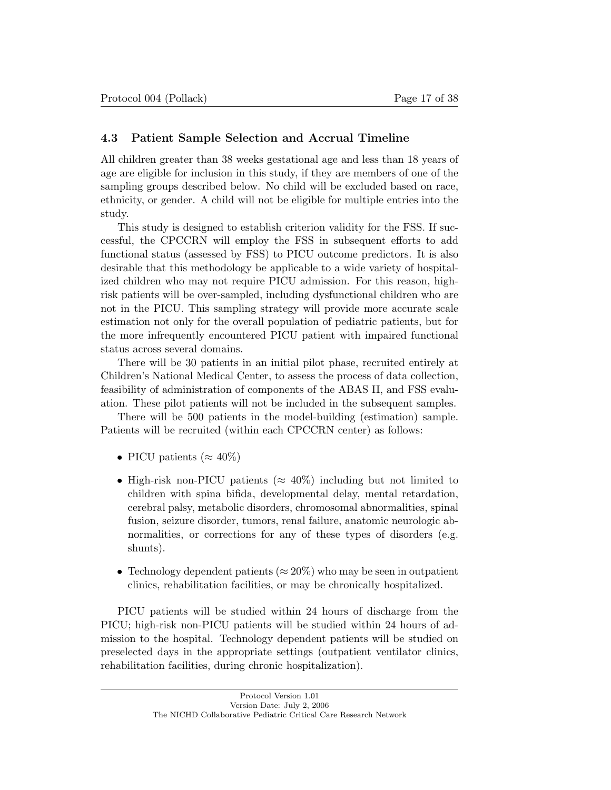### 4.3 Patient Sample Selection and Accrual Timeline

All children greater than 38 weeks gestational age and less than 18 years of age are eligible for inclusion in this study, if they are members of one of the sampling groups described below. No child will be excluded based on race, ethnicity, or gender. A child will not be eligible for multiple entries into the study.

This study is designed to establish criterion validity for the FSS. If successful, the CPCCRN will employ the FSS in subsequent efforts to add functional status (assessed by FSS) to PICU outcome predictors. It is also desirable that this methodology be applicable to a wide variety of hospitalized children who may not require PICU admission. For this reason, highrisk patients will be over-sampled, including dysfunctional children who are not in the PICU. This sampling strategy will provide more accurate scale estimation not only for the overall population of pediatric patients, but for the more infrequently encountered PICU patient with impaired functional status across several domains.

There will be 30 patients in an initial pilot phase, recruited entirely at Children's National Medical Center, to assess the process of data collection, feasibility of administration of components of the ABAS II, and FSS evaluation. These pilot patients will not be included in the subsequent samples.

There will be 500 patients in the model-building (estimation) sample. Patients will be recruited (within each CPCCRN center) as follows:

- PICU patients ( $\approx 40\%$ )
- High-risk non-PICU patients ( $\approx 40\%$ ) including but not limited to children with spina bifida, developmental delay, mental retardation, cerebral palsy, metabolic disorders, chromosomal abnormalities, spinal fusion, seizure disorder, tumors, renal failure, anatomic neurologic abnormalities, or corrections for any of these types of disorders (e.g. shunts).
- Technology dependent patients ( $\approx 20\%$ ) who may be seen in outpatient clinics, rehabilitation facilities, or may be chronically hospitalized.

PICU patients will be studied within 24 hours of discharge from the PICU; high-risk non-PICU patients will be studied within 24 hours of admission to the hospital. Technology dependent patients will be studied on preselected days in the appropriate settings (outpatient ventilator clinics, rehabilitation facilities, during chronic hospitalization).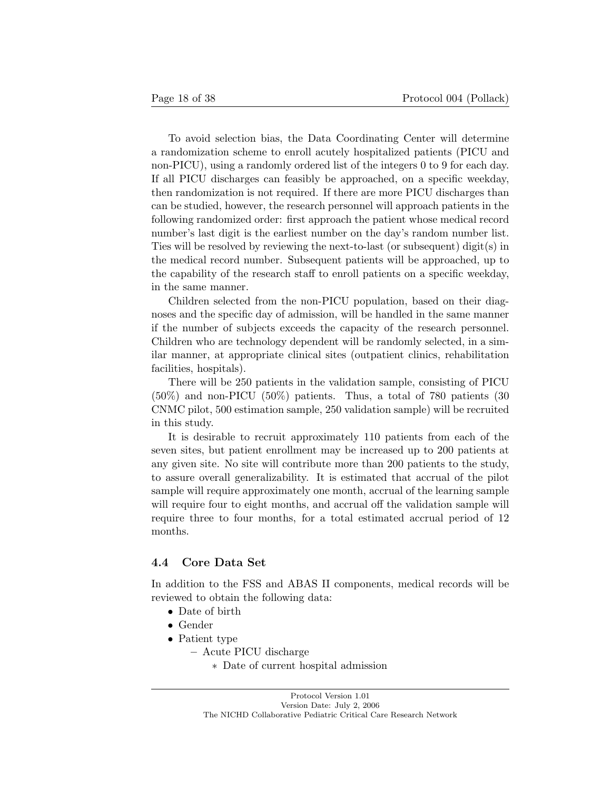To avoid selection bias, the Data Coordinating Center will determine a randomization scheme to enroll acutely hospitalized patients (PICU and non-PICU), using a randomly ordered list of the integers 0 to 9 for each day. If all PICU discharges can feasibly be approached, on a specific weekday, then randomization is not required. If there are more PICU discharges than can be studied, however, the research personnel will approach patients in the following randomized order: first approach the patient whose medical record number's last digit is the earliest number on the day's random number list. Ties will be resolved by reviewing the next-to-last (or subsequent) digit(s) in the medical record number. Subsequent patients will be approached, up to the capability of the research staff to enroll patients on a specific weekday, in the same manner.

Children selected from the non-PICU population, based on their diagnoses and the specific day of admission, will be handled in the same manner if the number of subjects exceeds the capacity of the research personnel. Children who are technology dependent will be randomly selected, in a similar manner, at appropriate clinical sites (outpatient clinics, rehabilitation facilities, hospitals).

There will be 250 patients in the validation sample, consisting of PICU  $(50\%)$  and non-PICU  $(50\%)$  patients. Thus, a total of 780 patients  $(30\%)$ CNMC pilot, 500 estimation sample, 250 validation sample) will be recruited in this study.

It is desirable to recruit approximately 110 patients from each of the seven sites, but patient enrollment may be increased up to 200 patients at any given site. No site will contribute more than 200 patients to the study, to assure overall generalizability. It is estimated that accrual of the pilot sample will require approximately one month, accrual of the learning sample will require four to eight months, and accrual off the validation sample will require three to four months, for a total estimated accrual period of 12 months.

#### 4.4 Core Data Set

In addition to the FSS and ABAS II components, medical records will be reviewed to obtain the following data:

- Date of birth
- Gender
- Patient type
	- Acute PICU discharge
		- ∗ Date of current hospital admission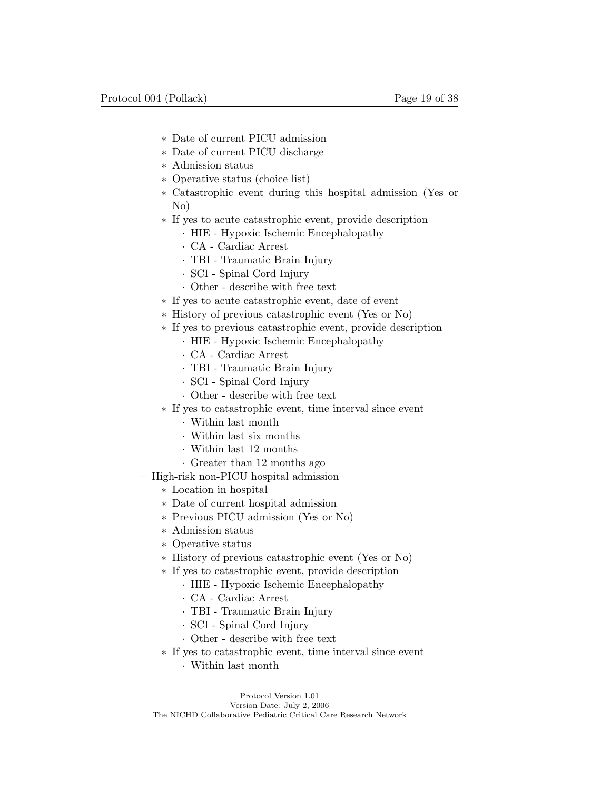- ∗ Date of current PICU admission
- ∗ Date of current PICU discharge
- ∗ Admission status
- ∗ Operative status (choice list)
- ∗ Catastrophic event during this hospital admission (Yes or No)
- ∗ If yes to acute catastrophic event, provide description
	- · HIE Hypoxic Ischemic Encephalopathy
	- · CA Cardiac Arrest
	- · TBI Traumatic Brain Injury
	- · SCI Spinal Cord Injury
	- · Other describe with free text
- ∗ If yes to acute catastrophic event, date of event
- ∗ History of previous catastrophic event (Yes or No)
- ∗ If yes to previous catastrophic event, provide description
	- · HIE Hypoxic Ischemic Encephalopathy
	- · CA Cardiac Arrest
	- · TBI Traumatic Brain Injury
	- · SCI Spinal Cord Injury
	- · Other describe with free text
- ∗ If yes to catastrophic event, time interval since event
	- · Within last month
	- · Within last six months
	- · Within last 12 months
	- · Greater than 12 months ago
- High-risk non-PICU hospital admission
	- ∗ Location in hospital
	- ∗ Date of current hospital admission
	- ∗ Previous PICU admission (Yes or No)
	- ∗ Admission status
	- ∗ Operative status
	- ∗ History of previous catastrophic event (Yes or No)
	- ∗ If yes to catastrophic event, provide description
		- · HIE Hypoxic Ischemic Encephalopathy
		- · CA Cardiac Arrest
		- · TBI Traumatic Brain Injury
		- · SCI Spinal Cord Injury
		- · Other describe with free text
	- ∗ If yes to catastrophic event, time interval since event
		- · Within last month

Protocol Version 1.01 Version Date: July 2, 2006

The NICHD Collaborative Pediatric Critical Care Research Network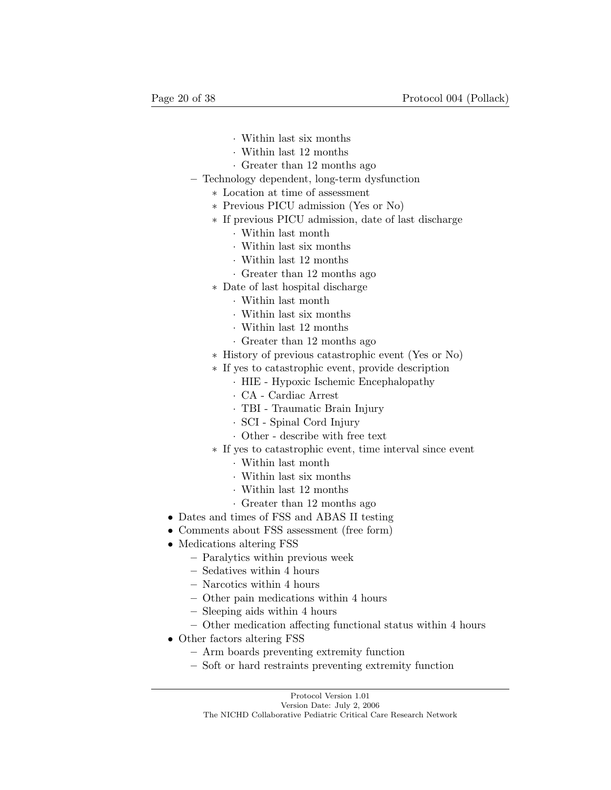- · Within last six months
- · Within last 12 months
- · Greater than 12 months ago
- Technology dependent, long-term dysfunction
	- ∗ Location at time of assessment
	- ∗ Previous PICU admission (Yes or No)
	- ∗ If previous PICU admission, date of last discharge
		- · Within last month
		- · Within last six months
		- · Within last 12 months
		- · Greater than 12 months ago
	- ∗ Date of last hospital discharge
		- · Within last month
		- · Within last six months
		- · Within last 12 months
		- · Greater than 12 months ago
	- ∗ History of previous catastrophic event (Yes or No)
	- ∗ If yes to catastrophic event, provide description
		- · HIE Hypoxic Ischemic Encephalopathy
		- · CA Cardiac Arrest
		- · TBI Traumatic Brain Injury
		- · SCI Spinal Cord Injury
		- · Other describe with free text
	- ∗ If yes to catastrophic event, time interval since event
		- · Within last month
		- · Within last six months
		- · Within last 12 months
		- · Greater than 12 months ago
- Dates and times of FSS and ABAS II testing
- Comments about FSS assessment (free form)
- Medications altering FSS
	- Paralytics within previous week
	- Sedatives within 4 hours
	- Narcotics within 4 hours
	- Other pain medications within 4 hours
	- Sleeping aids within 4 hours
	- Other medication affecting functional status within 4 hours
- Other factors altering FSS
	- Arm boards preventing extremity function
	- Soft or hard restraints preventing extremity function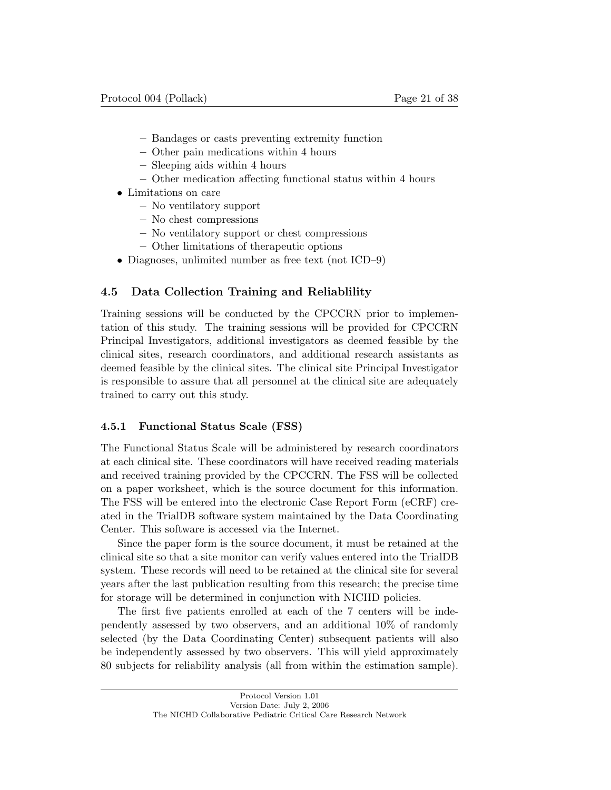- Bandages or casts preventing extremity function
- Other pain medications within 4 hours
- Sleeping aids within 4 hours
- Other medication affecting functional status within 4 hours
- Limitations on care
	- No ventilatory support
	- No chest compressions
	- No ventilatory support or chest compressions
	- Other limitations of therapeutic options
- Diagnoses, unlimited number as free text (not ICD–9)

### 4.5 Data Collection Training and Reliablility

Training sessions will be conducted by the CPCCRN prior to implementation of this study. The training sessions will be provided for CPCCRN Principal Investigators, additional investigators as deemed feasible by the clinical sites, research coordinators, and additional research assistants as deemed feasible by the clinical sites. The clinical site Principal Investigator is responsible to assure that all personnel at the clinical site are adequately trained to carry out this study.

#### 4.5.1 Functional Status Scale (FSS)

The Functional Status Scale will be administered by research coordinators at each clinical site. These coordinators will have received reading materials and received training provided by the CPCCRN. The FSS will be collected on a paper worksheet, which is the source document for this information. The FSS will be entered into the electronic Case Report Form (eCRF) created in the TrialDB software system maintained by the Data Coordinating Center. This software is accessed via the Internet.

Since the paper form is the source document, it must be retained at the clinical site so that a site monitor can verify values entered into the TrialDB system. These records will need to be retained at the clinical site for several years after the last publication resulting from this research; the precise time for storage will be determined in conjunction with NICHD policies.

The first five patients enrolled at each of the 7 centers will be independently assessed by two observers, and an additional 10% of randomly selected (by the Data Coordinating Center) subsequent patients will also be independently assessed by two observers. This will yield approximately 80 subjects for reliability analysis (all from within the estimation sample).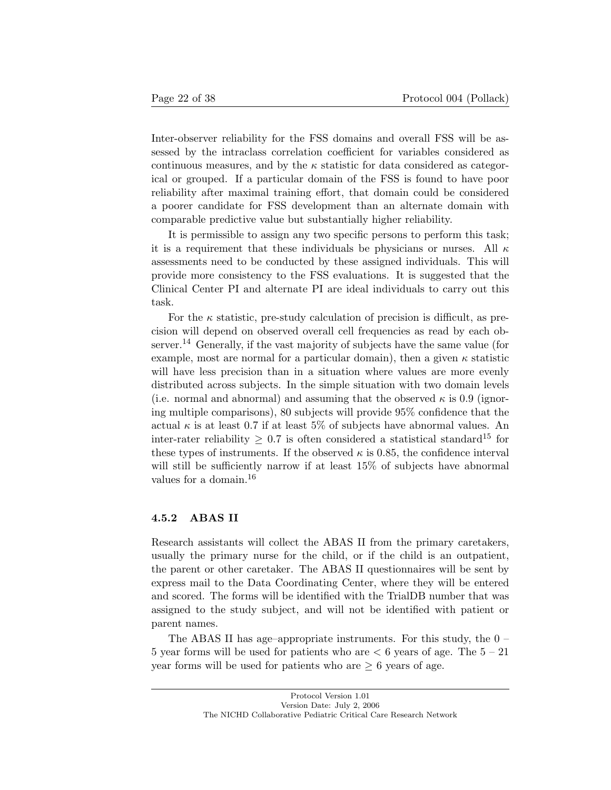Inter-observer reliability for the FSS domains and overall FSS will be assessed by the intraclass correlation coefficient for variables considered as continuous measures, and by the  $\kappa$  statistic for data considered as categorical or grouped. If a particular domain of the FSS is found to have poor reliability after maximal training effort, that domain could be considered a poorer candidate for FSS development than an alternate domain with comparable predictive value but substantially higher reliability.

It is permissible to assign any two specific persons to perform this task; it is a requirement that these individuals be physicians or nurses. All  $\kappa$ assessments need to be conducted by these assigned individuals. This will provide more consistency to the FSS evaluations. It is suggested that the Clinical Center PI and alternate PI are ideal individuals to carry out this task.

For the  $\kappa$  statistic, pre-study calculation of precision is difficult, as precision will depend on observed overall cell frequencies as read by each observer.<sup>14</sup> Generally, if the vast majority of subjects have the same value (for example, most are normal for a particular domain), then a given  $\kappa$  statistic will have less precision than in a situation where values are more evenly distributed across subjects. In the simple situation with two domain levels (i.e. normal and abnormal) and assuming that the observed  $\kappa$  is 0.9 (ignoring multiple comparisons), 80 subjects will provide 95% confidence that the actual  $\kappa$  is at least 0.7 if at least 5% of subjects have abnormal values. An inter-rater reliability  $\geq 0.7$  is often considered a statistical standard<sup>15</sup> for these types of instruments. If the observed  $\kappa$  is 0.85, the confidence interval will still be sufficiently narrow if at least  $15\%$  of subjects have abnormal values for a domain.<sup>16</sup>

#### 4.5.2 ABAS II

Research assistants will collect the ABAS II from the primary caretakers, usually the primary nurse for the child, or if the child is an outpatient, the parent or other caretaker. The ABAS II questionnaires will be sent by express mail to the Data Coordinating Center, where they will be entered and scored. The forms will be identified with the TrialDB number that was assigned to the study subject, and will not be identified with patient or parent names.

The ABAS II has age-appropriate instruments. For this study, the  $0 -$ 5 year forms will be used for patients who are  $\lt 6$  years of age. The  $5-21$ year forms will be used for patients who are  $\geq 6$  years of age.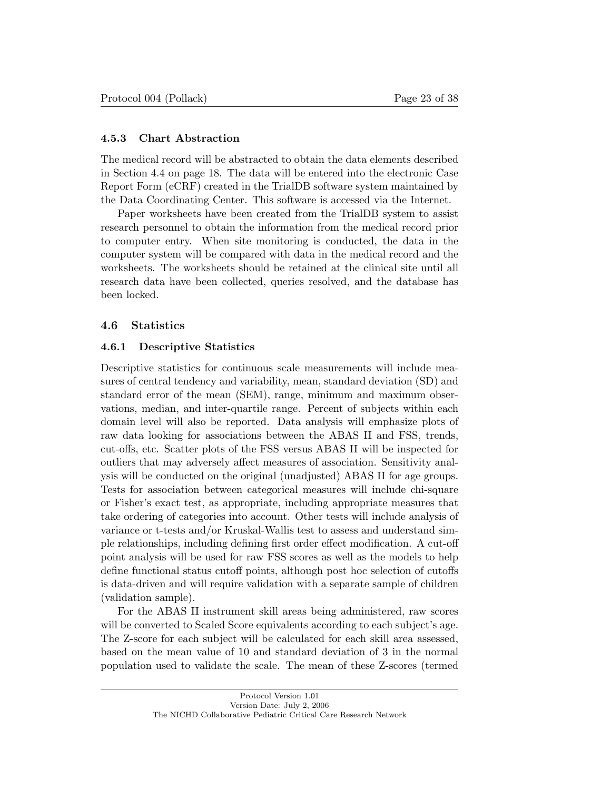#### 4.5.3 Chart Abstraction

The medical record will be abstracted to obtain the data elements described in Section 4.4 on page 18. The data will be entered into the electronic Case Report Form (eCRF) created in the TrialDB software system maintained by the Data Coordinating Center. This software is accessed via the Internet.

Paper worksheets have been created from the TrialDB system to assist research personnel to obtain the information from the medical record prior to computer entry. When site monitoring is conducted, the data in the computer system will be compared with data in the medical record and the worksheets. The worksheets should be retained at the clinical site until all research data have been collected, queries resolved, and the database has been locked.

#### 4.6 Statistics

#### 4.6.1 Descriptive Statistics

Descriptive statistics for continuous scale measurements will include measures of central tendency and variability, mean, standard deviation (SD) and standard error of the mean (SEM), range, minimum and maximum observations, median, and inter-quartile range. Percent of subjects within each domain level will also be reported. Data analysis will emphasize plots of raw data looking for associations between the ABAS II and FSS, trends, cut-offs, etc. Scatter plots of the FSS versus ABAS II will be inspected for outliers that may adversely affect measures of association. Sensitivity analysis will be conducted on the original (unadjusted) ABAS II for age groups. Tests for association between categorical measures will include chi-square or Fisher's exact test, as appropriate, including appropriate measures that take ordering of categories into account. Other tests will include analysis of variance or t-tests and/or Kruskal-Wallis test to assess and understand simple relationships, including defining first order effect modification. A cut-off point analysis will be used for raw FSS scores as well as the models to help define functional status cutoff points, although post hoc selection of cutoffs is data-driven and will require validation with a separate sample of children (validation sample).

For the ABAS II instrument skill areas being administered, raw scores will be converted to Scaled Score equivalents according to each subject's age. The Z-score for each subject will be calculated for each skill area assessed, based on the mean value of 10 and standard deviation of 3 in the normal population used to validate the scale. The mean of these Z-scores (termed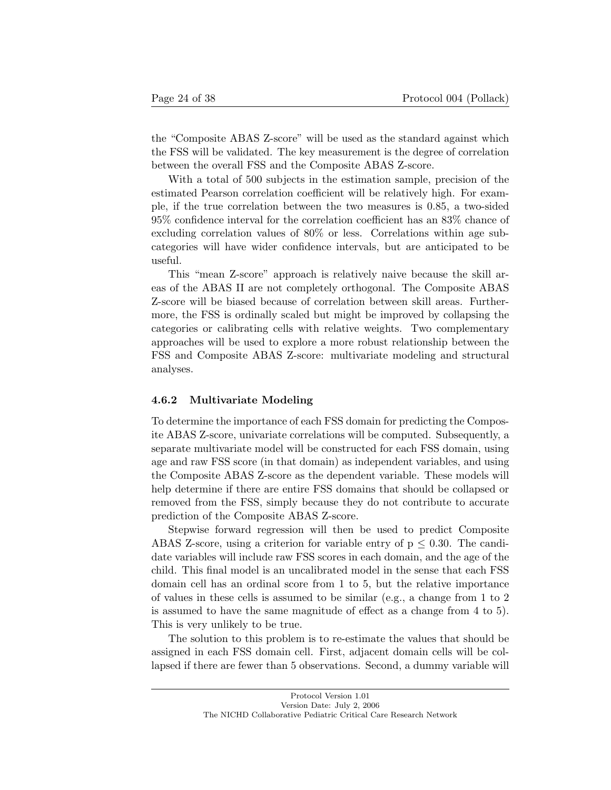the "Composite ABAS Z-score" will be used as the standard against which the FSS will be validated. The key measurement is the degree of correlation between the overall FSS and the Composite ABAS Z-score.

With a total of 500 subjects in the estimation sample, precision of the estimated Pearson correlation coefficient will be relatively high. For example, if the true correlation between the two measures is 0.85, a two-sided 95% confidence interval for the correlation coefficient has an 83% chance of excluding correlation values of 80% or less. Correlations within age subcategories will have wider confidence intervals, but are anticipated to be useful.

This "mean Z-score" approach is relatively naive because the skill areas of the ABAS II are not completely orthogonal. The Composite ABAS Z-score will be biased because of correlation between skill areas. Furthermore, the FSS is ordinally scaled but might be improved by collapsing the categories or calibrating cells with relative weights. Two complementary approaches will be used to explore a more robust relationship between the FSS and Composite ABAS Z-score: multivariate modeling and structural analyses.

#### 4.6.2 Multivariate Modeling

To determine the importance of each FSS domain for predicting the Composite ABAS Z-score, univariate correlations will be computed. Subsequently, a separate multivariate model will be constructed for each FSS domain, using age and raw FSS score (in that domain) as independent variables, and using the Composite ABAS Z-score as the dependent variable. These models will help determine if there are entire FSS domains that should be collapsed or removed from the FSS, simply because they do not contribute to accurate prediction of the Composite ABAS Z-score.

Stepwise forward regression will then be used to predict Composite ABAS Z-score, using a criterion for variable entry of  $p \leq 0.30$ . The candidate variables will include raw FSS scores in each domain, and the age of the child. This final model is an uncalibrated model in the sense that each FSS domain cell has an ordinal score from 1 to 5, but the relative importance of values in these cells is assumed to be similar (e.g., a change from 1 to 2 is assumed to have the same magnitude of effect as a change from 4 to 5). This is very unlikely to be true.

The solution to this problem is to re-estimate the values that should be assigned in each FSS domain cell. First, adjacent domain cells will be collapsed if there are fewer than 5 observations. Second, a dummy variable will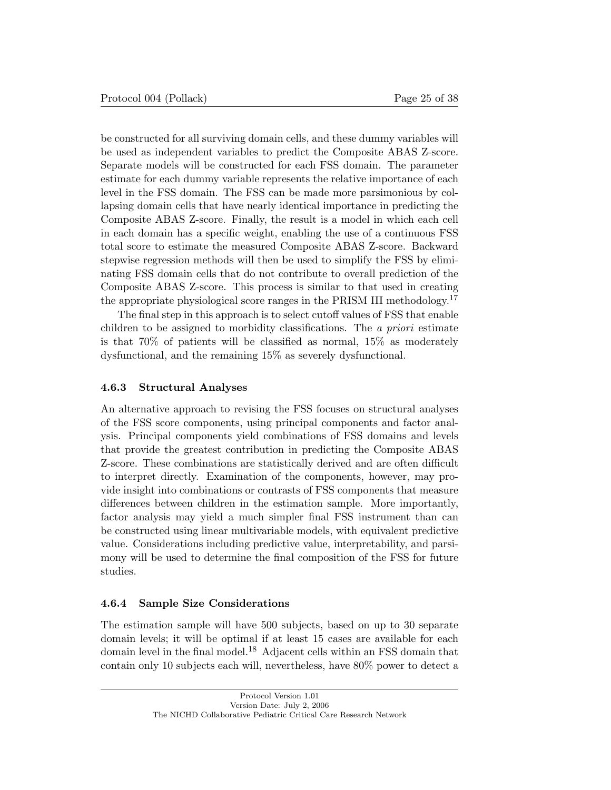be constructed for all surviving domain cells, and these dummy variables will be used as independent variables to predict the Composite ABAS Z-score. Separate models will be constructed for each FSS domain. The parameter estimate for each dummy variable represents the relative importance of each level in the FSS domain. The FSS can be made more parsimonious by collapsing domain cells that have nearly identical importance in predicting the Composite ABAS Z-score. Finally, the result is a model in which each cell in each domain has a specific weight, enabling the use of a continuous FSS total score to estimate the measured Composite ABAS Z-score. Backward stepwise regression methods will then be used to simplify the FSS by eliminating FSS domain cells that do not contribute to overall prediction of the Composite ABAS Z-score. This process is similar to that used in creating the appropriate physiological score ranges in the PRISM III methodology.<sup>17</sup>

The final step in this approach is to select cutoff values of FSS that enable children to be assigned to morbidity classifications. The *a priori* estimate is that 70% of patients will be classified as normal, 15% as moderately dysfunctional, and the remaining 15% as severely dysfunctional.

#### 4.6.3 Structural Analyses

An alternative approach to revising the FSS focuses on structural analyses of the FSS score components, using principal components and factor analysis. Principal components yield combinations of FSS domains and levels that provide the greatest contribution in predicting the Composite ABAS Z-score. These combinations are statistically derived and are often difficult to interpret directly. Examination of the components, however, may provide insight into combinations or contrasts of FSS components that measure differences between children in the estimation sample. More importantly, factor analysis may yield a much simpler final FSS instrument than can be constructed using linear multivariable models, with equivalent predictive value. Considerations including predictive value, interpretability, and parsimony will be used to determine the final composition of the FSS for future studies.

#### 4.6.4 Sample Size Considerations

The estimation sample will have 500 subjects, based on up to 30 separate domain levels; it will be optimal if at least 15 cases are available for each domain level in the final model.<sup>18</sup> Adjacent cells within an FSS domain that contain only 10 subjects each will, nevertheless, have 80% power to detect a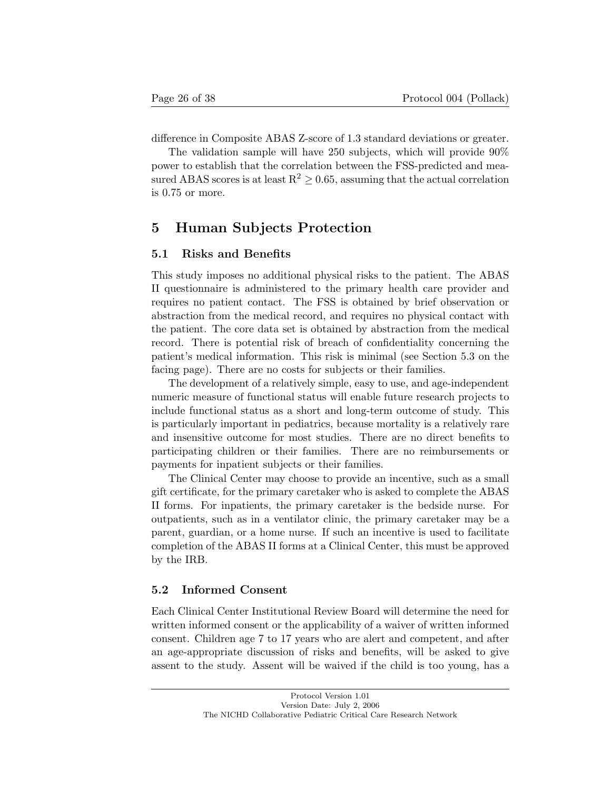difference in Composite ABAS Z-score of 1.3 standard deviations or greater.

The validation sample will have 250 subjects, which will provide 90% power to establish that the correlation between the FSS-predicted and measured ABAS scores is at least  $R^2 \geq 0.65$ , assuming that the actual correlation is 0.75 or more.

## 5 Human Subjects Protection

#### 5.1 Risks and Benefits

This study imposes no additional physical risks to the patient. The ABAS II questionnaire is administered to the primary health care provider and requires no patient contact. The FSS is obtained by brief observation or abstraction from the medical record, and requires no physical contact with the patient. The core data set is obtained by abstraction from the medical record. There is potential risk of breach of confidentiality concerning the patient's medical information. This risk is minimal (see Section 5.3 on the facing page). There are no costs for subjects or their families.

The development of a relatively simple, easy to use, and age-independent numeric measure of functional status will enable future research projects to include functional status as a short and long-term outcome of study. This is particularly important in pediatrics, because mortality is a relatively rare and insensitive outcome for most studies. There are no direct benefits to participating children or their families. There are no reimbursements or payments for inpatient subjects or their families.

The Clinical Center may choose to provide an incentive, such as a small gift certificate, for the primary caretaker who is asked to complete the ABAS II forms. For inpatients, the primary caretaker is the bedside nurse. For outpatients, such as in a ventilator clinic, the primary caretaker may be a parent, guardian, or a home nurse. If such an incentive is used to facilitate completion of the ABAS II forms at a Clinical Center, this must be approved by the IRB.

#### 5.2 Informed Consent

Each Clinical Center Institutional Review Board will determine the need for written informed consent or the applicability of a waiver of written informed consent. Children age 7 to 17 years who are alert and competent, and after an age-appropriate discussion of risks and benefits, will be asked to give assent to the study. Assent will be waived if the child is too young, has a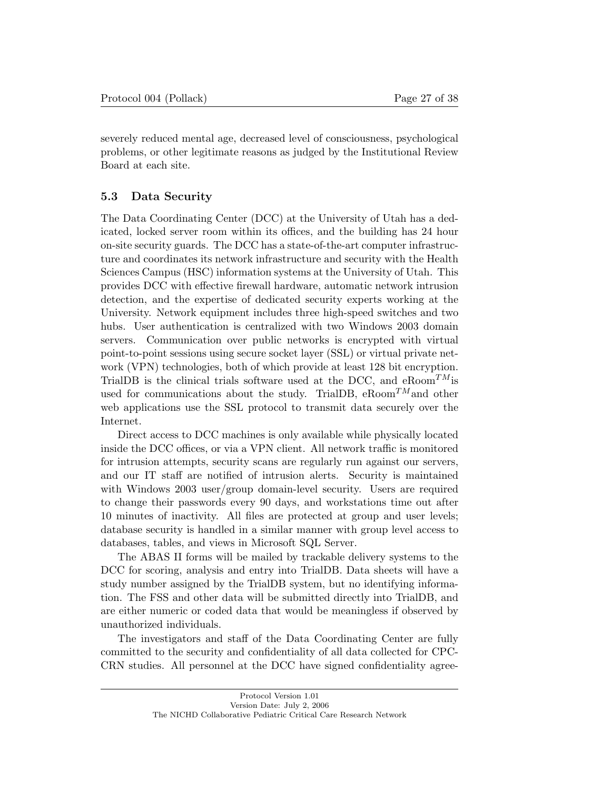severely reduced mental age, decreased level of consciousness, psychological problems, or other legitimate reasons as judged by the Institutional Review Board at each site.

#### 5.3 Data Security

The Data Coordinating Center (DCC) at the University of Utah has a dedicated, locked server room within its offices, and the building has 24 hour on-site security guards. The DCC has a state-of-the-art computer infrastructure and coordinates its network infrastructure and security with the Health Sciences Campus (HSC) information systems at the University of Utah. This provides DCC with effective firewall hardware, automatic network intrusion detection, and the expertise of dedicated security experts working at the University. Network equipment includes three high-speed switches and two hubs. User authentication is centralized with two Windows 2003 domain servers. Communication over public networks is encrypted with virtual point-to-point sessions using secure socket layer (SSL) or virtual private network (VPN) technologies, both of which provide at least 128 bit encryption. TrialDB is the clinical trials software used at the DCC, and eRoom*TM*is used for communications about the study. TrialDB, eRoom*TM*and other web applications use the SSL protocol to transmit data securely over the Internet.

Direct access to DCC machines is only available while physically located inside the DCC offices, or via a VPN client. All network traffic is monitored for intrusion attempts, security scans are regularly run against our servers, and our IT staff are notified of intrusion alerts. Security is maintained with Windows 2003 user/group domain-level security. Users are required to change their passwords every 90 days, and workstations time out after 10 minutes of inactivity. All files are protected at group and user levels; database security is handled in a similar manner with group level access to databases, tables, and views in Microsoft SQL Server.

The ABAS II forms will be mailed by trackable delivery systems to the DCC for scoring, analysis and entry into TrialDB. Data sheets will have a study number assigned by the TrialDB system, but no identifying information. The FSS and other data will be submitted directly into TrialDB, and are either numeric or coded data that would be meaningless if observed by unauthorized individuals.

The investigators and staff of the Data Coordinating Center are fully committed to the security and confidentiality of all data collected for CPC-CRN studies. All personnel at the DCC have signed confidentiality agree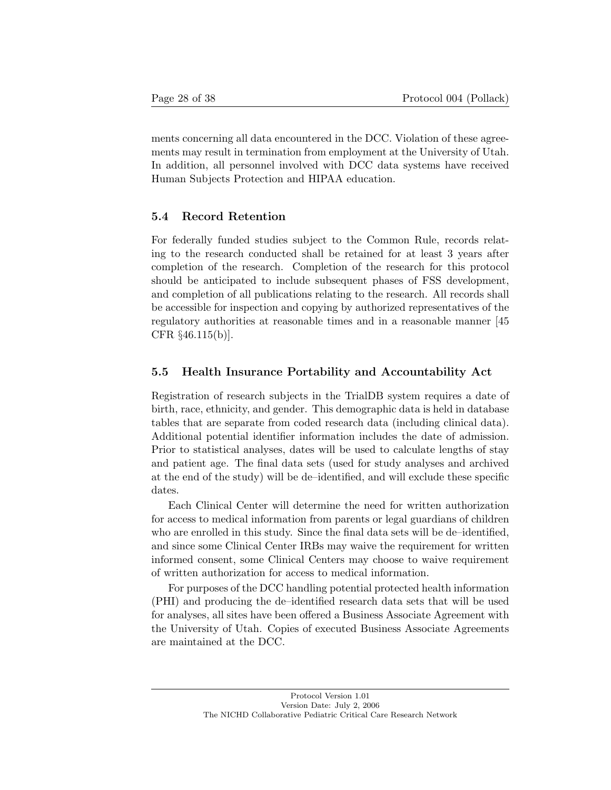ments concerning all data encountered in the DCC. Violation of these agreements may result in termination from employment at the University of Utah. In addition, all personnel involved with DCC data systems have received Human Subjects Protection and HIPAA education.

#### 5.4 Record Retention

For federally funded studies subject to the Common Rule, records relating to the research conducted shall be retained for at least 3 years after completion of the research. Completion of the research for this protocol should be anticipated to include subsequent phases of FSS development, and completion of all publications relating to the research. All records shall be accessible for inspection and copying by authorized representatives of the regulatory authorities at reasonable times and in a reasonable manner [45 CFR §46.115(b)].

#### 5.5 Health Insurance Portability and Accountability Act

Registration of research subjects in the TrialDB system requires a date of birth, race, ethnicity, and gender. This demographic data is held in database tables that are separate from coded research data (including clinical data). Additional potential identifier information includes the date of admission. Prior to statistical analyses, dates will be used to calculate lengths of stay and patient age. The final data sets (used for study analyses and archived at the end of the study) will be de–identified, and will exclude these specific dates.

Each Clinical Center will determine the need for written authorization for access to medical information from parents or legal guardians of children who are enrolled in this study. Since the final data sets will be de-identified, and since some Clinical Center IRBs may waive the requirement for written informed consent, some Clinical Centers may choose to waive requirement of written authorization for access to medical information.

For purposes of the DCC handling potential protected health information (PHI) and producing the de–identified research data sets that will be used for analyses, all sites have been offered a Business Associate Agreement with the University of Utah. Copies of executed Business Associate Agreements are maintained at the DCC.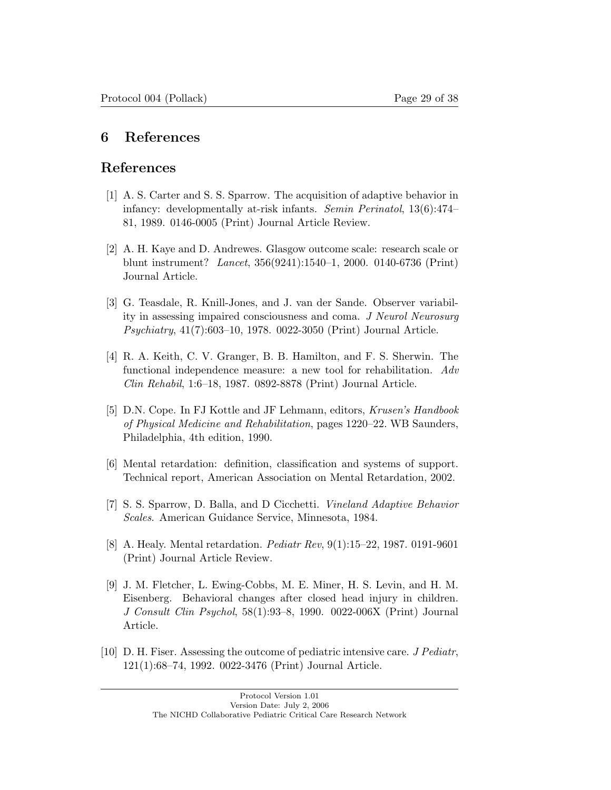## 6 References

## References

- [1] A. S. Carter and S. S. Sparrow. The acquisition of adaptive behavior in infancy: developmentally at-risk infants. *Semin Perinatol*, 13(6):474– 81, 1989. 0146-0005 (Print) Journal Article Review.
- [2] A. H. Kaye and D. Andrewes. Glasgow outcome scale: research scale or blunt instrument? *Lancet*, 356(9241):1540–1, 2000. 0140-6736 (Print) Journal Article.
- [3] G. Teasdale, R. Knill-Jones, and J. van der Sande. Observer variability in assessing impaired consciousness and coma. *J Neurol Neurosurg Psychiatry*, 41(7):603–10, 1978. 0022-3050 (Print) Journal Article.
- [4] R. A. Keith, C. V. Granger, B. B. Hamilton, and F. S. Sherwin. The functional independence measure: a new tool for rehabilitation. *Adv Clin Rehabil*, 1:6–18, 1987. 0892-8878 (Print) Journal Article.
- [5] D.N. Cope. In FJ Kottle and JF Lehmann, editors, *Krusen's Handbook of Physical Medicine and Rehabilitation*, pages 1220–22. WB Saunders, Philadelphia, 4th edition, 1990.
- [6] Mental retardation: definition, classification and systems of support. Technical report, American Association on Mental Retardation, 2002.
- [7] S. S. Sparrow, D. Balla, and D Cicchetti. *Vineland Adaptive Behavior Scales*. American Guidance Service, Minnesota, 1984.
- [8] A. Healy. Mental retardation. *Pediatr Rev*, 9(1):15–22, 1987. 0191-9601 (Print) Journal Article Review.
- [9] J. M. Fletcher, L. Ewing-Cobbs, M. E. Miner, H. S. Levin, and H. M. Eisenberg. Behavioral changes after closed head injury in children. *J Consult Clin Psychol*, 58(1):93–8, 1990. 0022-006X (Print) Journal Article.
- [10] D. H. Fiser. Assessing the outcome of pediatric intensive care. *J Pediatr*, 121(1):68–74, 1992. 0022-3476 (Print) Journal Article.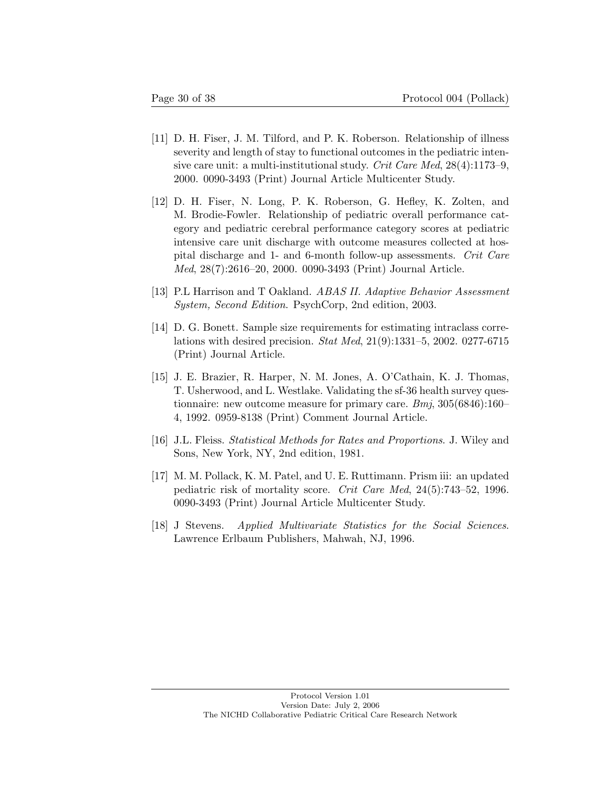- [11] D. H. Fiser, J. M. Tilford, and P. K. Roberson. Relationship of illness severity and length of stay to functional outcomes in the pediatric intensive care unit: a multi-institutional study. *Crit Care Med*, 28(4):1173–9, 2000. 0090-3493 (Print) Journal Article Multicenter Study.
- [12] D. H. Fiser, N. Long, P. K. Roberson, G. Hefley, K. Zolten, and M. Brodie-Fowler. Relationship of pediatric overall performance category and pediatric cerebral performance category scores at pediatric intensive care unit discharge with outcome measures collected at hospital discharge and 1- and 6-month follow-up assessments. *Crit Care Med*, 28(7):2616–20, 2000. 0090-3493 (Print) Journal Article.
- [13] P.L Harrison and T Oakland. *ABAS II. Adaptive Behavior Assessment System, Second Edition*. PsychCorp, 2nd edition, 2003.
- [14] D. G. Bonett. Sample size requirements for estimating intraclass correlations with desired precision. *Stat Med*, 21(9):1331–5, 2002. 0277-6715 (Print) Journal Article.
- [15] J. E. Brazier, R. Harper, N. M. Jones, A. O'Cathain, K. J. Thomas, T. Usherwood, and L. Westlake. Validating the sf-36 health survey questionnaire: new outcome measure for primary care. *Bmj*, 305(6846):160– 4, 1992. 0959-8138 (Print) Comment Journal Article.
- [16] J.L. Fleiss. *Statistical Methods for Rates and Proportions*. J. Wiley and Sons, New York, NY, 2nd edition, 1981.
- [17] M. M. Pollack, K. M. Patel, and U. E. Ruttimann. Prism iii: an updated pediatric risk of mortality score. *Crit Care Med*, 24(5):743–52, 1996. 0090-3493 (Print) Journal Article Multicenter Study.
- [18] J Stevens. *Applied Multivariate Statistics for the Social Sciences*. Lawrence Erlbaum Publishers, Mahwah, NJ, 1996.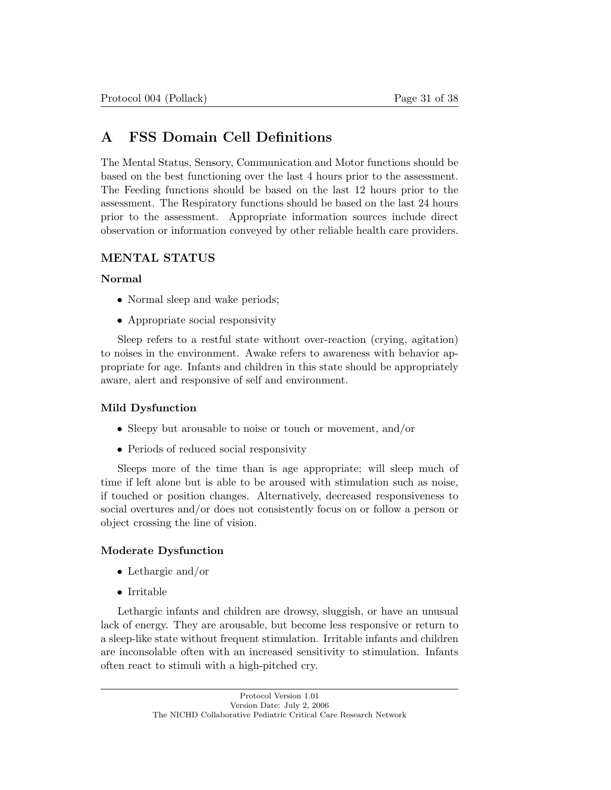## A FSS Domain Cell Definitions

The Mental Status, Sensory, Communication and Motor functions should be based on the best functioning over the last 4 hours prior to the assessment. The Feeding functions should be based on the last 12 hours prior to the assessment. The Respiratory functions should be based on the last 24 hours prior to the assessment. Appropriate information sources include direct observation or information conveyed by other reliable health care providers.

## MENTAL STATUS

#### Normal

- Normal sleep and wake periods;
- Appropriate social responsivity

Sleep refers to a restful state without over-reaction (crying, agitation) to noises in the environment. Awake refers to awareness with behavior appropriate for age. Infants and children in this state should be appropriately aware, alert and responsive of self and environment.

#### Mild Dysfunction

- Sleepy but arousable to noise or touch or movement, and/or
- Periods of reduced social responsivity

Sleeps more of the time than is age appropriate; will sleep much of time if left alone but is able to be aroused with stimulation such as noise, if touched or position changes. Alternatively, decreased responsiveness to social overtures and/or does not consistently focus on or follow a person or object crossing the line of vision.

#### Moderate Dysfunction

- Lethargic and/or
- Irritable

Lethargic infants and children are drowsy, sluggish, or have an unusual lack of energy. They are arousable, but become less responsive or return to a sleep-like state without frequent stimulation. Irritable infants and children are inconsolable often with an increased sensitivity to stimulation. Infants often react to stimuli with a high-pitched cry.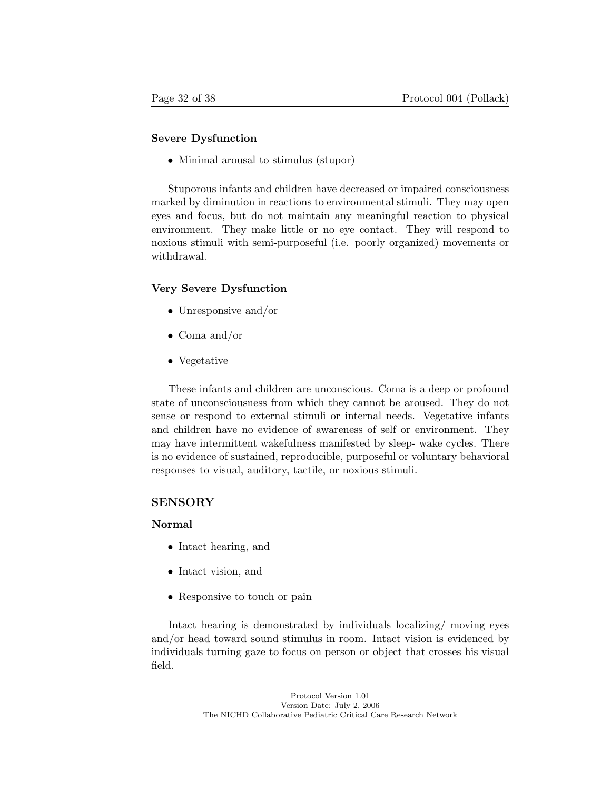#### Severe Dysfunction

• Minimal arousal to stimulus (stupor)

Stuporous infants and children have decreased or impaired consciousness marked by diminution in reactions to environmental stimuli. They may open eyes and focus, but do not maintain any meaningful reaction to physical environment. They make little or no eye contact. They will respond to noxious stimuli with semi-purposeful (i.e. poorly organized) movements or withdrawal.

#### Very Severe Dysfunction

- Unresponsive and/or
- Coma and/or
- Vegetative

These infants and children are unconscious. Coma is a deep or profound state of unconsciousness from which they cannot be aroused. They do not sense or respond to external stimuli or internal needs. Vegetative infants and children have no evidence of awareness of self or environment. They may have intermittent wakefulness manifested by sleep- wake cycles. There is no evidence of sustained, reproducible, purposeful or voluntary behavioral responses to visual, auditory, tactile, or noxious stimuli.

#### SENSORY

#### Normal

- Intact hearing, and
- Intact vision, and
- Responsive to touch or pain

Intact hearing is demonstrated by individuals localizing/ moving eyes and/or head toward sound stimulus in room. Intact vision is evidenced by individuals turning gaze to focus on person or object that crosses his visual field.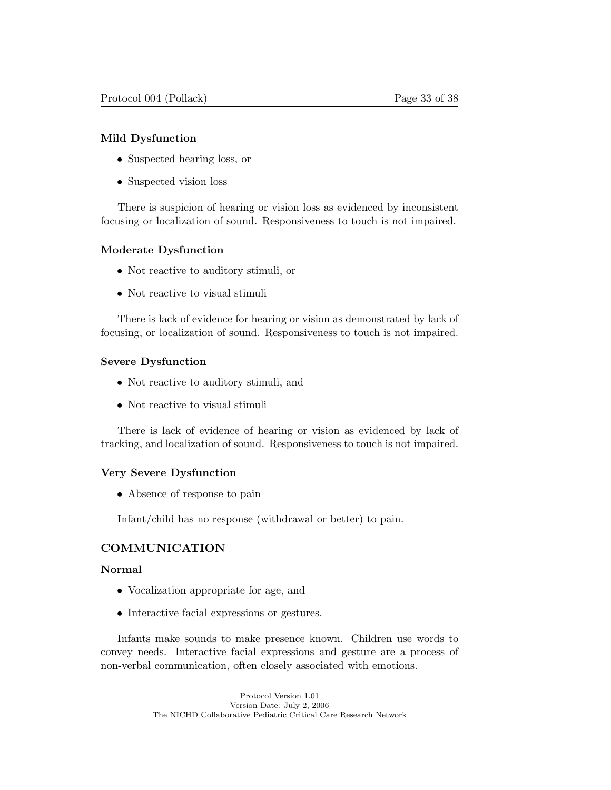### Mild Dysfunction

- Suspected hearing loss, or
- Suspected vision loss

There is suspicion of hearing or vision loss as evidenced by inconsistent focusing or localization of sound. Responsiveness to touch is not impaired.

### Moderate Dysfunction

- Not reactive to auditory stimuli, or
- Not reactive to visual stimuli

There is lack of evidence for hearing or vision as demonstrated by lack of focusing, or localization of sound. Responsiveness to touch is not impaired.

### Severe Dysfunction

- Not reactive to auditory stimuli, and
- Not reactive to visual stimuli

There is lack of evidence of hearing or vision as evidenced by lack of tracking, and localization of sound. Responsiveness to touch is not impaired.

#### Very Severe Dysfunction

• Absence of response to pain

Infant/child has no response (withdrawal or better) to pain.

## COMMUNICATION

#### Normal

- Vocalization appropriate for age, and
- Interactive facial expressions or gestures.

Infants make sounds to make presence known. Children use words to convey needs. Interactive facial expressions and gesture are a process of non-verbal communication, often closely associated with emotions.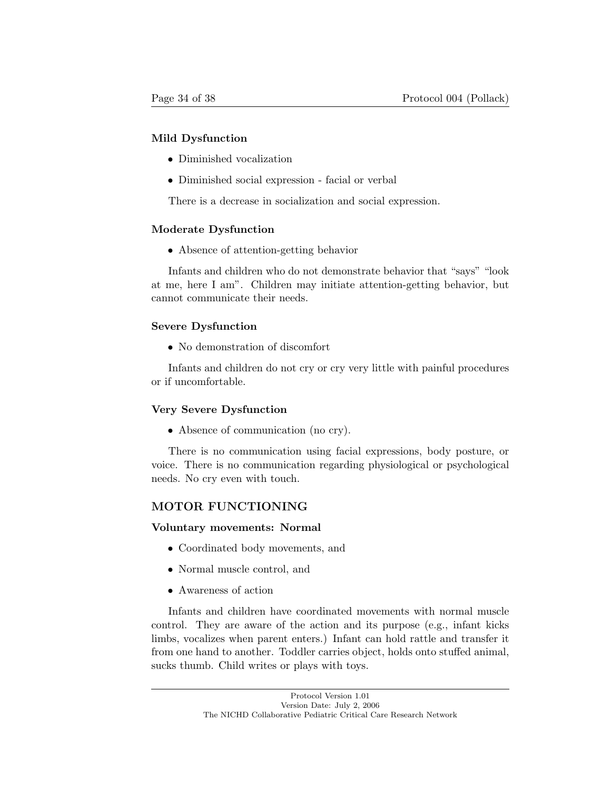#### Mild Dysfunction

- Diminished vocalization
- Diminished social expression facial or verbal

There is a decrease in socialization and social expression.

#### Moderate Dysfunction

• Absence of attention-getting behavior

Infants and children who do not demonstrate behavior that "says" "look at me, here I am". Children may initiate attention-getting behavior, but cannot communicate their needs.

#### Severe Dysfunction

• No demonstration of discomfort

Infants and children do not cry or cry very little with painful procedures or if uncomfortable.

#### Very Severe Dysfunction

• Absence of communication (no cry).

There is no communication using facial expressions, body posture, or voice. There is no communication regarding physiological or psychological needs. No cry even with touch.

#### MOTOR FUNCTIONING

#### Voluntary movements: Normal

- Coordinated body movements, and
- Normal muscle control, and
- Awareness of action

Infants and children have coordinated movements with normal muscle control. They are aware of the action and its purpose (e.g., infant kicks limbs, vocalizes when parent enters.) Infant can hold rattle and transfer it from one hand to another. Toddler carries object, holds onto stuffed animal, sucks thumb. Child writes or plays with toys.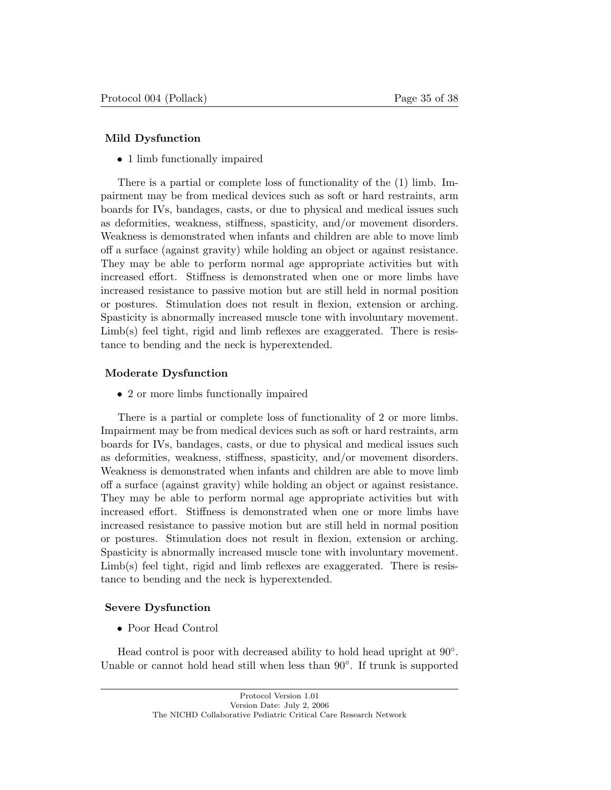#### Mild Dysfunction

• 1 limb functionally impaired

There is a partial or complete loss of functionality of the (1) limb. Impairment may be from medical devices such as soft or hard restraints, arm boards for IVs, bandages, casts, or due to physical and medical issues such as deformities, weakness, stiffness, spasticity, and/or movement disorders. Weakness is demonstrated when infants and children are able to move limb off a surface (against gravity) while holding an object or against resistance. They may be able to perform normal age appropriate activities but with increased effort. Stiffness is demonstrated when one or more limbs have increased resistance to passive motion but are still held in normal position or postures. Stimulation does not result in flexion, extension or arching. Spasticity is abnormally increased muscle tone with involuntary movement. Limb(s) feel tight, rigid and limb reflexes are exaggerated. There is resistance to bending and the neck is hyperextended.

### Moderate Dysfunction

• 2 or more limbs functionally impaired

There is a partial or complete loss of functionality of 2 or more limbs. Impairment may be from medical devices such as soft or hard restraints, arm boards for IVs, bandages, casts, or due to physical and medical issues such as deformities, weakness, stiffness, spasticity, and/or movement disorders. Weakness is demonstrated when infants and children are able to move limb off a surface (against gravity) while holding an object or against resistance. They may be able to perform normal age appropriate activities but with increased effort. Stiffness is demonstrated when one or more limbs have increased resistance to passive motion but are still held in normal position or postures. Stimulation does not result in flexion, extension or arching. Spasticity is abnormally increased muscle tone with involuntary movement. Limb(s) feel tight, rigid and limb reflexes are exaggerated. There is resistance to bending and the neck is hyperextended.

#### Severe Dysfunction

• Poor Head Control

Head control is poor with decreased ability to hold head upright at 90◦. Unable or cannot hold head still when less than 90◦. If trunk is supported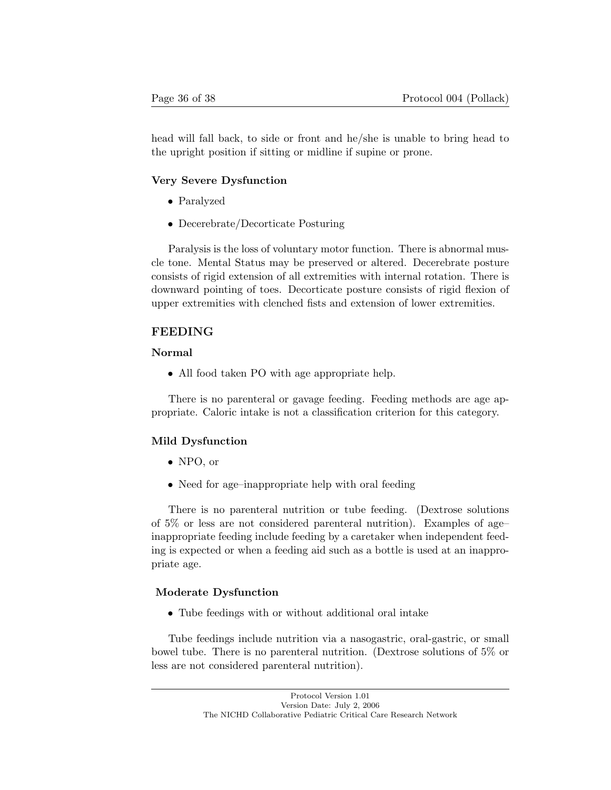head will fall back, to side or front and he/she is unable to bring head to the upright position if sitting or midline if supine or prone.

#### Very Severe Dysfunction

- Paralyzed
- Decerebrate/Decorticate Posturing

Paralysis is the loss of voluntary motor function. There is abnormal muscle tone. Mental Status may be preserved or altered. Decerebrate posture consists of rigid extension of all extremities with internal rotation. There is downward pointing of toes. Decorticate posture consists of rigid flexion of upper extremities with clenched fists and extension of lower extremities.

#### FEEDING

#### Normal

• All food taken PO with age appropriate help.

There is no parenteral or gavage feeding. Feeding methods are age appropriate. Caloric intake is not a classification criterion for this category.

#### Mild Dysfunction

- NPO, or
- Need for age-inappropriate help with oral feeding

There is no parenteral nutrition or tube feeding. (Dextrose solutions of 5% or less are not considered parenteral nutrition). Examples of age– inappropriate feeding include feeding by a caretaker when independent feeding is expected or when a feeding aid such as a bottle is used at an inappropriate age.

#### Moderate Dysfunction

• Tube feedings with or without additional oral intake

Tube feedings include nutrition via a nasogastric, oral-gastric, or small bowel tube. There is no parenteral nutrition. (Dextrose solutions of 5% or less are not considered parenteral nutrition).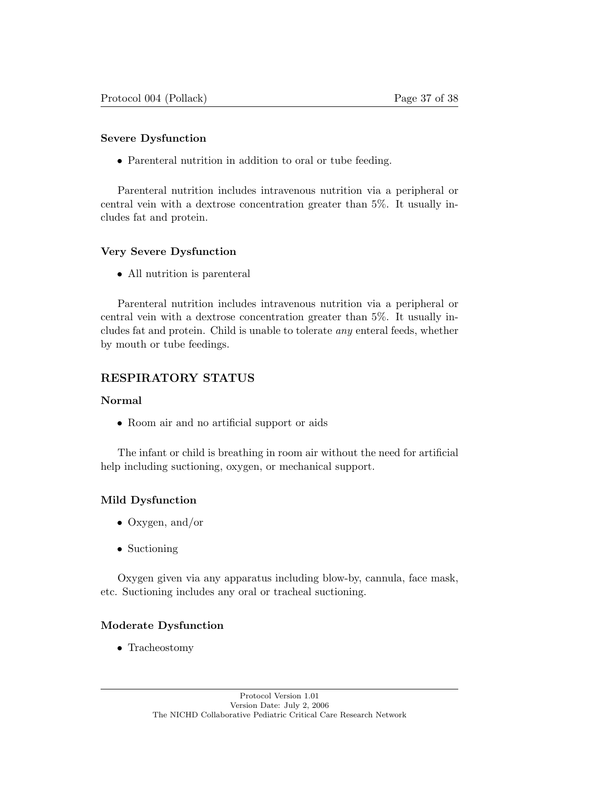#### Severe Dysfunction

• Parenteral nutrition in addition to oral or tube feeding.

Parenteral nutrition includes intravenous nutrition via a peripheral or central vein with a dextrose concentration greater than 5%. It usually includes fat and protein.

#### Very Severe Dysfunction

• All nutrition is parenteral

Parenteral nutrition includes intravenous nutrition via a peripheral or central vein with a dextrose concentration greater than 5%. It usually includes fat and protein. Child is unable to tolerate *any* enteral feeds, whether by mouth or tube feedings.

## RESPIRATORY STATUS

#### Normal

• Room air and no artificial support or aids

The infant or child is breathing in room air without the need for artificial help including suctioning, oxygen, or mechanical support.

#### Mild Dysfunction

- Oxygen, and/or
- Suctioning

Oxygen given via any apparatus including blow-by, cannula, face mask, etc. Suctioning includes any oral or tracheal suctioning.

#### Moderate Dysfunction

• Tracheostomy